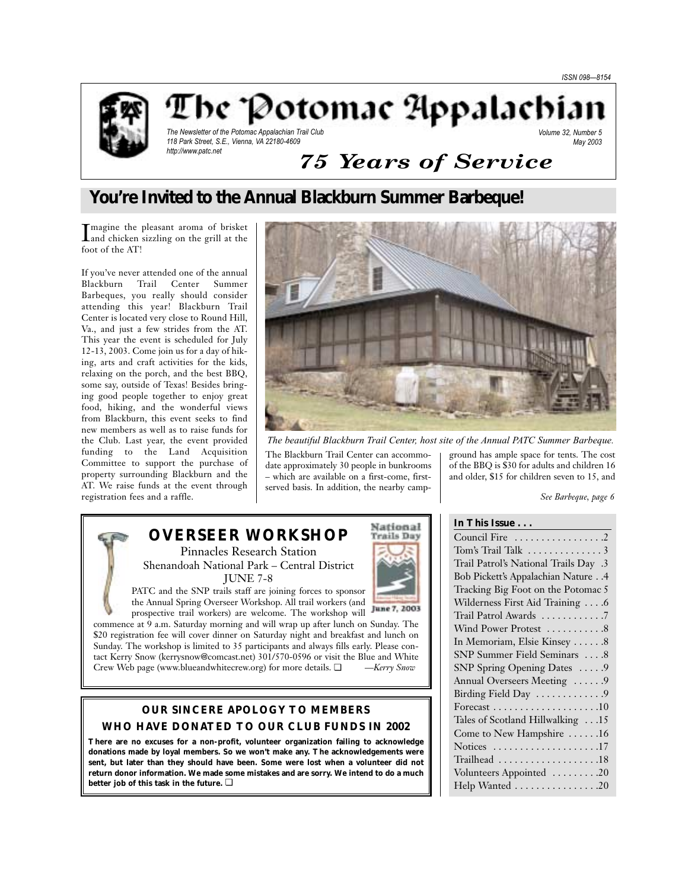



The Potomac Appalachiar

The Newsletter of the Potomac Appalachian Trail Club 118 Park Street, S.E., Vienna, VA 22180-4609 http://www.patc.net

#### Volume 32, Number 5 May 2003

# *75 Years of Service*

# **You're Invited to the Annual Blackburn Summer Barbeque!**

Imagine the pleasant aroma of brisket<br>and chicken sizzling on the grill at the and chicken sizzling on the grill at the foot of the AT!

If you've never attended one of the annual Blackburn Trail Center Summer Barbeques, you really should consider attending this year! Blackburn Trail Center is located very close to Round Hill, Va., and just a few strides from the AT. This year the event is scheduled for July 12-13, 2003. Come join us for a day of hiking, arts and craft activities for the kids, relaxing on the porch, and the best BBQ, some say, outside of Texas! Besides bringing good people together to enjoy great food, hiking, and the wonderful views from Blackburn, this event seeks to find new members as well as to raise funds for the Club. Last year, the event provided funding to the Land Acquisition Committee to support the purchase of property surrounding Blackburn and the AT. We raise funds at the event through registration fees and a raffle.



*The beautiful Blackburn Trail Center, host site of the Annual PATC Summer Barbeque.*

The Blackburn Trail Center can accommodate approximately 30 people in bunkrooms – which are available on a first-come, firstserved basis. In addition, the nearby campground has ample space for tents. The cost of the BBQ is \$30 for adults and children 16 and older, \$15 for children seven to 15, and

**In This Issue . . .**

*See Barbeque, page 6*

# **OVERSEER WORKSHOP**

Pinnacles Research Station Shenandoah National Park – Central District JUNE 7-8

PATC and the SNP trails staff are joining forces to sponsor the Annual Spring Overseer Workshop. All trail workers (and

prospective trail workers) are welcome. The workshop will commence at 9 a.m. Saturday morning and will wrap up after lunch on Sunday. The \$20 registration fee will cover dinner on Saturday night and breakfast and lunch on Sunday. The workshop is limited to 35 participants and always fills early. Please contact Kerry Snow (kerrysnow@comcast.net) 301/570-0596 or visit the Blue and White Crew Web page (www.blueandwhitecrew.org) for more details. ❏ *—Kerry Snow*

## **OUR SINCERE APOLOGY TO MEMBERS WHO HAVE DONATED TO OUR CLUB FUNDS IN 2002**

**There are no excuses for a non-profit, volunteer organization failing to acknowledge donations made by loyal members. So we won't make any. The acknowledgements were sent, but later than they should have been. Some were lost when a volunteer did not return donor information. We made some mistakes and are sorry. We intend to do a much better job of this task in the future.** ❏



| Council Fire 2                        |
|---------------------------------------|
|                                       |
| Trail Patrol's National Trails Day .3 |
| Bob Pickett's Appalachian Nature 4    |
| Tracking Big Foot on the Potomac 5    |
| Wilderness First Aid Training 6       |
| Trail Patrol Awards 7                 |
| Wind Power Protest 8                  |
| In Memoriam, Elsie Kinsey 8           |
| SNP Summer Field Seminars 8           |
| SNP Spring Opening Dates 9            |
| Annual Overseers Meeting  9           |
| Birding Field Day 9                   |
|                                       |
| Tales of Scotland Hillwalking 15      |
| Come to New Hampshire 16              |
| Notices 17                            |
| Trailhead 18                          |
| Volunteers Appointed 20               |
| Help Wanted 20                        |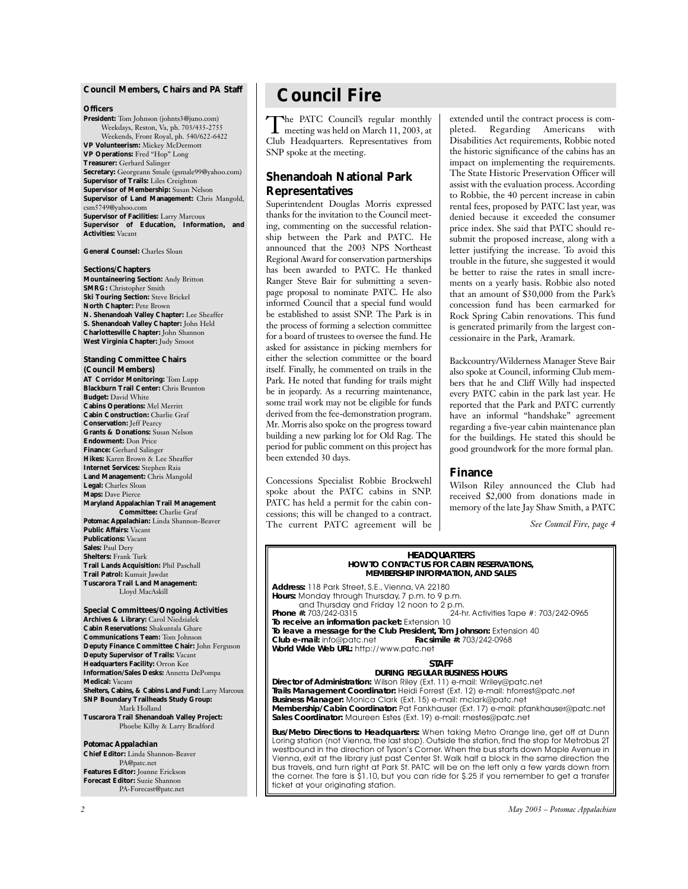#### **Council Members, Chairs and** *PA* **Staff**

#### **Officers**

**President:** Tom Johnson (johnts3@juno.com) Weekdays, Reston, Va, ph. 703/435-2755 Weekends, Front Royal, ph. 540/622-6422 **VP Volunteerism:** Mickey McDermott **VP Operations:** Fred "Hop" Long **Treasurer:** Gerhard Salinger **Secretary:** Georgeann Smale (gsmale99@yahoo.com) **Supervisor of Trails:** Liles Creighton **Supervisor of Membership:** Susan Nelson **Supervisor of Land Management:** Chris Mangold, csm5749@yahoo.com **Supervisor of Facilities:** Larry Marcoux **Supervisor of Education, Information, and Activities:** Vacant

**General Counsel:** Charles Sloan

**Sections/Chapters Mountaineering Section:** Andy Britton **SMRG:** Christopher Smith **Ski Touring Section:** Steve Brickel **North Chapter:** Pete Brown **N. Shenandoah Valley Chapter:** Lee Sheaffer **S. Shenandoah Valley Chapter:** John Held **Charlottesville Chapter:** John Shannon

**West Virginia Chapter:** Judy Smoot

**Standing Committee Chairs (Council Members) AT Corridor Monitoring:** Tom Lupp **Blackburn Trail Center:** Chris Brunton **Budget:** David White **Cabins Operations:** Mel Merritt **Cabin Construction:** Charlie Graf **Conservation:** Jeff Pearcy **Grants & Donations:** Susan Nelson **Endowment:** Don Price **Finance:** Gerhard Salinger **Hikes:** Karen Brown & Lee Sheaffer **Internet Services:** Stephen Raia **Land Management:** Chris Mangold **Legal:** Charles Sloan **Maps:** Dave Pierce **Maryland Appalachian Trail Management Committee:** Charlie Graf

*Potomac Appalachian:* Linda Shannon-Beaver **Public Affairs:** Vacant **Publications:** Vacant **Sales:** Paul Dery **Shelters:** Frank Turk **Trail Lands Acquisition:** Phil Paschall **Trail Patrol:** Kumait Jawdat **Tuscarora Trail Land Management:** Lloyd MacAskill

**Special Committees/Ongoing Activities Archives & Library:** Carol Niedzialek **Cabin Reservations:** Shakuntala Ghare **Communications Team:** Tom Johnson **Deputy Finance Committee Chair:** John Ferguson **Deputy Supervisor of Trails:** Vacant **Headquarters Facility:** Orron Kee **Information/Sales Desks:** Annetta DePompa **Medical:** Vacant **Shelters, Cabins, & Cabins Land Fund:** Larry Marcoux

**SNP Boundary Trailheads Study Group:** Mark Holland **Tuscarora Trail Shenandoah Valley Project:** Phoebe Kilby & Larry Bradford

#### *Potomac Appalachian*

**Chief Editor:** Linda Shannon-Beaver PA@patc.net **Features Editor:** Joanne Erickson **Forecast Editor:** Suzie Shannon PA-Forecast@patc.net

# **Council Fire**

The PATC Council's regular monthly<br>meeting was held on March 11, 2003, at Club Headquarters. Representatives from SNP spoke at the meeting.

## **Shenandoah National Park Representatives**

Superintendent Douglas Morris expressed thanks for the invitation to the Council meeting, commenting on the successful relationship between the Park and PATC. He announced that the 2003 NPS Northeast Regional Award for conservation partnerships has been awarded to PATC. He thanked Ranger Steve Bair for submitting a sevenpage proposal to nominate PATC. He also informed Council that a special fund would be established to assist SNP. The Park is in the process of forming a selection committee for a board of trustees to oversee the fund. He asked for assistance in picking members for either the selection committee or the board itself. Finally, he commented on trails in the Park. He noted that funding for trails might be in jeopardy. As a recurring maintenance, some trail work may not be eligible for funds derived from the fee-demonstration program. Mr. Morris also spoke on the progress toward building a new parking lot for Old Rag. The period for public comment on this project has been extended 30 days.

Concessions Specialist Robbie Brockwehl spoke about the PATC cabins in SNP. PATC has held a permit for the cabin concessions; this will be changed to a contract. The current PATC agreement will be extended until the contract process is completed. Regarding Americans with Disabilities Act requirements, Robbie noted the historic significance of the cabins has an impact on implementing the requirements. The State Historic Preservation Officer will assist with the evaluation process. According to Robbie, the 40 percent increase in cabin rental fees, proposed by PATC last year, was denied because it exceeded the consumer price index. She said that PATC should resubmit the proposed increase, along with a letter justifying the increase. To avoid this trouble in the future, she suggested it would be better to raise the rates in small increments on a yearly basis. Robbie also noted that an amount of \$30,000 from the Park's concession fund has been earmarked for Rock Spring Cabin renovations. This fund is generated primarily from the largest concessionaire in the Park, Aramark.

Backcountry/Wilderness Manager Steve Bair also spoke at Council, informing Club members that he and Cliff Willy had inspected every PATC cabin in the park last year. He reported that the Park and PATC currently have an informal "handshake" agreement regarding a five-year cabin maintenance plan for the buildings. He stated this should be good groundwork for the more formal plan.

### **Finance**

Wilson Riley announced the Club had received \$2,000 from donations made in memory of the late Jay Shaw Smith, a PATC

*See Council Fire, page 4*

#### **HEADQUARTERS HOW TO CONTACT US FOR CABIN RESERVATIONS, MEMBERSHIP INFORMATION, AND SALES**

**Address:** 118 Park Street, S.E., Vienna, VA 22180 **Hours:** Monday through Thursday, 7 p.m. to 9 p.m. and Thursday and Friday 12 noon to 2 p.m.<br>Phone #: 703/242-0315 24-h **Phone #:** 703/242-0315 24-hr. Activities Tape #: 703/242-0965 **To receive an information packet:** Extension 10 To leave a message for the Club President, Tom Johnson: Extension 40<br>Club e-mail: info@patc.net<br>Facsimile #: 703/242-0968 **Club e-mail:** info@patc.net **World Wide Web URL:** http://www.patc.net

#### **STAFF**

### **DURING REGULAR BUSINESS HOURS**

**Director of Administration:** Wilson Riley (Ext. 11) e-mail: Wriley@patc.net **Trails Management Coordinator:** Heidi Forrest (Ext. 12) e-mail: hforrest@patc.net **Business Manager:** Monica Clark (Ext. 15) e-mail: mclark@patc.net **Membership/Cabin Coordinator:** Pat Fankhauser (Ext. 17) e-mail: pfankhauser@patc.net **Sales Coordinator:** Maureen Estes (Ext. 19) e-mail: mestes@patc.net

**Bus/Metro Directions to Headquarters:** When taking Metro Orange line, get off at Dunn Loring station (not Vienna, the last stop). Outside the station, find the stop for Metrobus 2T westbound in the direction of Tyson's Corner.When the bus starts down Maple Avenue in Vienna, exit at the library just past Center St. Walk half a block in the same direction the bus travels, and turn right at Park St. PATC will be on the left only a few yards down from the corner. The fare is \$1.10, but you can ride for \$.25 if you remember to get a transfer ticket at your originating station.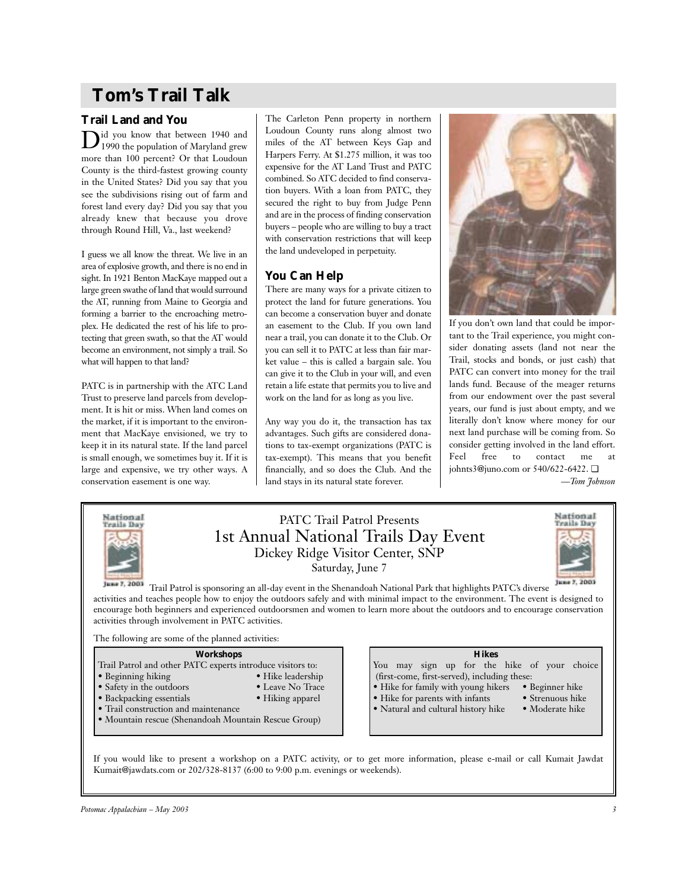# **Tom's Trail Talk**

## **Trail Land and You**

 $\mathbf{D}^\text{id}$  you know that between 1940 and 1990 the population of Maryland grew more than 100 percent? Or that Loudoun County is the third-fastest growing county in the United States? Did you say that you see the subdivisions rising out of farm and forest land every day? Did you say that you already knew that because you drove through Round Hill, Va., last weekend?

I guess we all know the threat. We live in an area of explosive growth, and there is no end in sight. In 1921 Benton MacKaye mapped out a large green swathe of land that would surround the AT, running from Maine to Georgia and forming a barrier to the encroaching metroplex. He dedicated the rest of his life to protecting that green swath, so that the AT would become an environment, not simply a trail. So what will happen to that land?

PATC is in partnership with the ATC Land Trust to preserve land parcels from development. It is hit or miss. When land comes on the market, if it is important to the environment that MacKaye envisioned, we try to keep it in its natural state. If the land parcel is small enough, we sometimes buy it. If it is large and expensive, we try other ways. A conservation easement is one way.

The Carleton Penn property in northern Loudoun County runs along almost two miles of the AT between Keys Gap and Harpers Ferry. At \$1.275 million, it was too expensive for the AT Land Trust and PATC combined. So ATC decided to find conservation buyers. With a loan from PATC, they secured the right to buy from Judge Penn and are in the process of finding conservation buyers – people who are willing to buy a tract with conservation restrictions that will keep the land undeveloped in perpetuity.

## **You Can Help**

There are many ways for a private citizen to protect the land for future generations. You can become a conservation buyer and donate an easement to the Club. If you own land near a trail, you can donate it to the Club. Or you can sell it to PATC at less than fair market value – this is called a bargain sale. You can give it to the Club in your will, and even retain a life estate that permits you to live and work on the land for as long as you live.

Any way you do it, the transaction has tax advantages. Such gifts are considered donations to tax-exempt organizations (PATC is tax-exempt). This means that you benefit financially, and so does the Club. And the land stays in its natural state forever.



If you don't own land that could be important to the Trail experience, you might consider donating assets (land not near the Trail, stocks and bonds, or just cash) that PATC can convert into money for the trail lands fund. Because of the meager returns from our endowment over the past several years, our fund is just about empty, and we literally don't know where money for our next land purchase will be coming from. So consider getting involved in the land effort. Feel free to contact me at johnts3@juno.com or 540/622-6422. ❏

*—Tom Johnson*



## PATC Trail Patrol Presents 1st Annual National Trails Day Event Dickey Ridge Visitor Center, SNP Saturday, June 7



Trail Patrol is sponsoring an all-day event in the Shenandoah National Park that highlights PATC's diverse activities and teaches people how to enjoy the outdoors safely and with minimal impact to the environment. The event is designed to encourage both beginners and experienced outdoorsmen and women to learn more about the outdoors and to encourage conservation activities through involvement in PATC activities.

The following are some of the planned activities:

## **Workshops**

- Trail Patrol and other PATC experts introduce visitors to:
- Beginning hiking Hike leadership
- Safety in the outdoors Leave No Trace
- Backpacking essentials Hiking apparel
- Trail construction and maintenance
- Mountain rescue (Shenandoah Mountain Rescue Group)

## **Hikes**

You may sign up for the hike of your choice (first-come, first-served), including these:

- Hike for family with young hikers Beginner hike
	-
- Hike for parents with infants Strenuous hike Natural and cultural history hike Moderate hike • Natural and cultural history hike

If you would like to present a workshop on a PATC activity, or to get more information, please e-mail or call Kumait Jawdat Kumait@jawdats.com or 202/328-8137 (6:00 to 9:00 p.m. evenings or weekends).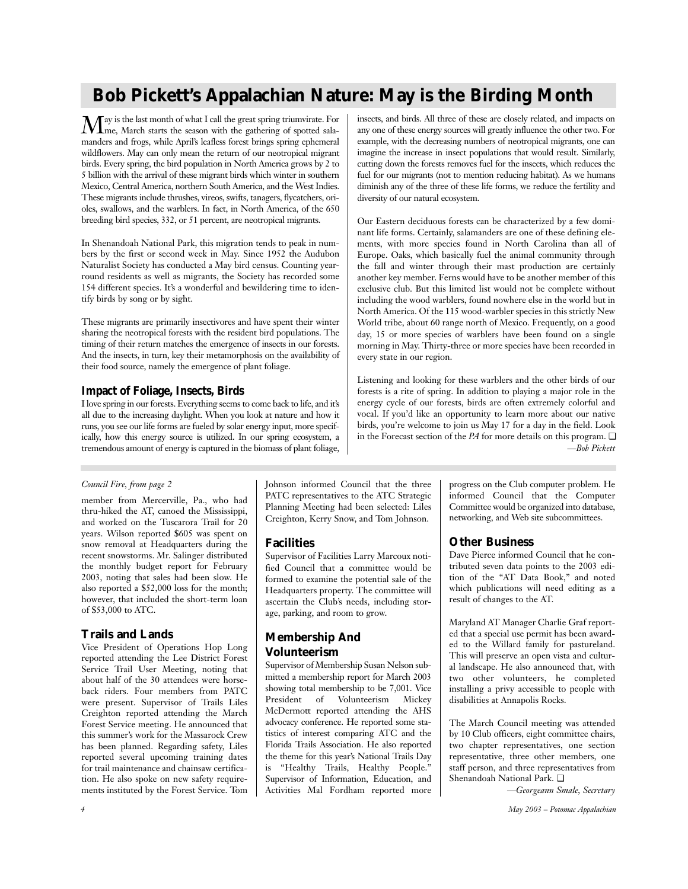# **Bob Pickett's Appalachian Nature: May is the Birding Month**

 $M$ ay is the last month of what I call the great spring triumvirate. For  $M$ me, March starts the season with the gathering of spotted salamanders and frogs, while April's leafless forest brings spring ephemeral wildflowers. May can only mean the return of our neotropical migrant birds. Every spring, the bird population in North America grows by 2 to 5 billion with the arrival of these migrant birds which winter in southern Mexico, Central America, northern South America, and the West Indies. These migrants include thrushes, vireos, swifts, tanagers, flycatchers, orioles, swallows, and the warblers. In fact, in North America, of the 650 breeding bird species, 332, or 51 percent, are neotropical migrants.

In Shenandoah National Park, this migration tends to peak in numbers by the first or second week in May. Since 1952 the Audubon Naturalist Society has conducted a May bird census. Counting yearround residents as well as migrants, the Society has recorded some 154 different species. It's a wonderful and bewildering time to identify birds by song or by sight.

These migrants are primarily insectivores and have spent their winter sharing the neotropical forests with the resident bird populations. The timing of their return matches the emergence of insects in our forests. And the insects, in turn, key their metamorphosis on the availability of their food source, namely the emergence of plant foliage.

## **Impact of Foliage, Insects, Birds**

I love spring in our forests. Everything seems to come back to life, and it's all due to the increasing daylight. When you look at nature and how it runs, you see our life forms are fueled by solar energy input, more specifically, how this energy source is utilized. In our spring ecosystem, a tremendous amount of energy is captured in the biomass of plant foliage, insects, and birds. All three of these are closely related, and impacts on any one of these energy sources will greatly influence the other two. For example, with the decreasing numbers of neotropical migrants, one can imagine the increase in insect populations that would result. Similarly, cutting down the forests removes fuel for the insects, which reduces the fuel for our migrants (not to mention reducing habitat). As we humans diminish any of the three of these life forms, we reduce the fertility and diversity of our natural ecosystem.

Our Eastern deciduous forests can be characterized by a few dominant life forms. Certainly, salamanders are one of these defining elements, with more species found in North Carolina than all of Europe. Oaks, which basically fuel the animal community through the fall and winter through their mast production are certainly another key member. Ferns would have to be another member of this exclusive club. But this limited list would not be complete without including the wood warblers, found nowhere else in the world but in North America. Of the 115 wood-warbler species in this strictly New World tribe, about 60 range north of Mexico. Frequently, on a good day, 15 or more species of warblers have been found on a single morning in May. Thirty-three or more species have been recorded in every state in our region.

Listening and looking for these warblers and the other birds of our forests is a rite of spring. In addition to playing a major role in the energy cycle of our forests, birds are often extremely colorful and vocal. If you'd like an opportunity to learn more about our native birds, you're welcome to join us May 17 for a day in the field. Look in the Forecast section of the *PA* for more details on this program. ❏ *—Bob Pickett*

## *Council Fire, from page 2*

member from Mercerville, Pa., who had thru-hiked the AT, canoed the Mississippi, and worked on the Tuscarora Trail for 20 years. Wilson reported \$605 was spent on snow removal at Headquarters during the recent snowstorms. Mr. Salinger distributed the monthly budget report for February 2003, noting that sales had been slow. He also reported a \$52,000 loss for the month; however, that included the short-term loan of \$53,000 to ATC.

## **Trails and Lands**

Vice President of Operations Hop Long reported attending the Lee District Forest Service Trail User Meeting, noting that about half of the 30 attendees were horseback riders. Four members from PATC were present. Supervisor of Trails Liles Creighton reported attending the March Forest Service meeting. He announced that this summer's work for the Massarock Crew has been planned. Regarding safety, Liles reported several upcoming training dates for trail maintenance and chainsaw certification. He also spoke on new safety requirements instituted by the Forest Service. Tom Johnson informed Council that the three PATC representatives to the ATC Strategic Planning Meeting had been selected: Liles Creighton, Kerry Snow, and Tom Johnson.

## **Facilities**

Supervisor of Facilities Larry Marcoux notified Council that a committee would be formed to examine the potential sale of the Headquarters property. The committee will ascertain the Club's needs, including storage, parking, and room to grow.

## **Membership And Volunteerism**

Supervisor of Membership Susan Nelson submitted a membership report for March 2003 showing total membership to be 7,001. Vice President of Volunteerism Mickey McDermott reported attending the AHS advocacy conference. He reported some statistics of interest comparing ATC and the Florida Trails Association. He also reported the theme for this year's National Trails Day is "Healthy Trails, Healthy People." Supervisor of Information, Education, and Activities Mal Fordham reported more progress on the Club computer problem. He informed Council that the Computer Committee would be organized into database, networking, and Web site subcommittees.

## **Other Business**

Dave Pierce informed Council that he contributed seven data points to the 2003 edition of the "AT Data Book," and noted which publications will need editing as a result of changes to the AT.

Maryland AT Manager Charlie Graf reported that a special use permit has been awarded to the Willard family for pastureland. This will preserve an open vista and cultural landscape. He also announced that, with two other volunteers, he completed installing a privy accessible to people with disabilities at Annapolis Rocks.

The March Council meeting was attended by 10 Club officers, eight committee chairs, two chapter representatives, one section representative, three other members, one staff person, and three representatives from Shenandoah National Park. ❏

*—Georgeann Smale, Secretary*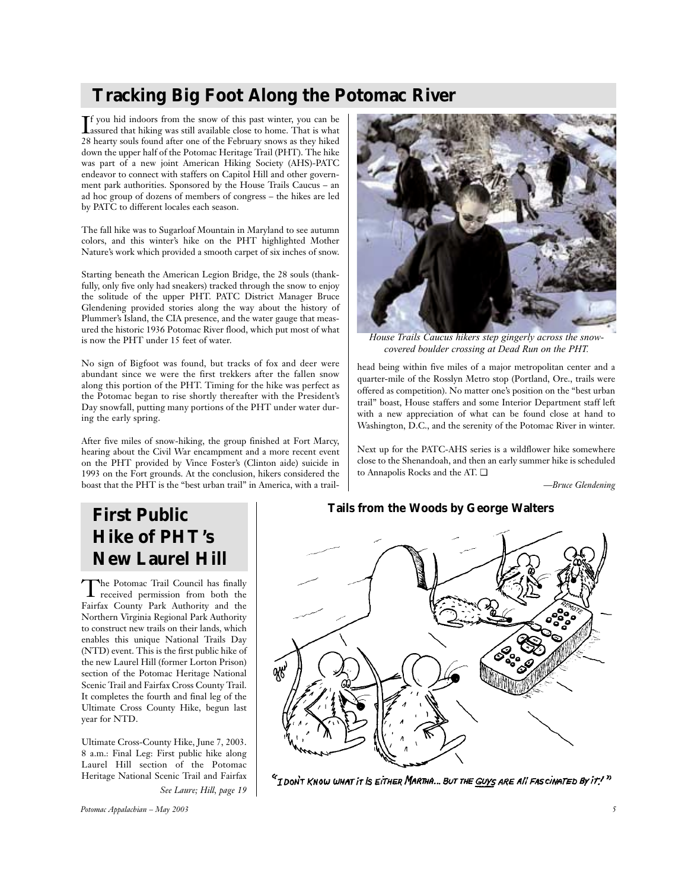# **Tracking Big Foot Along the Potomac River**

 $\prod$  f you hid indoors from the snow of this past winter, you can be assured that hiking was still available close to home. That is what f you hid indoors from the snow of this past winter, you can be 28 hearty souls found after one of the February snows as they hiked down the upper half of the Potomac Heritage Trail (PHT). The hike was part of a new joint American Hiking Society (AHS)-PATC endeavor to connect with staffers on Capitol Hill and other government park authorities. Sponsored by the House Trails Caucus – an ad hoc group of dozens of members of congress – the hikes are led by PATC to different locales each season.

The fall hike was to Sugarloaf Mountain in Maryland to see autumn colors, and this winter's hike on the PHT highlighted Mother Nature's work which provided a smooth carpet of six inches of snow.

Starting beneath the American Legion Bridge, the 28 souls (thankfully, only five only had sneakers) tracked through the snow to enjoy the solitude of the upper PHT. PATC District Manager Bruce Glendening provided stories along the way about the history of Plummer's Island, the CIA presence, and the water gauge that measured the historic 1936 Potomac River flood, which put most of what is now the PHT under 15 feet of water.

No sign of Bigfoot was found, but tracks of fox and deer were abundant since we were the first trekkers after the fallen snow along this portion of the PHT. Timing for the hike was perfect as the Potomac began to rise shortly thereafter with the President's Day snowfall, putting many portions of the PHT under water during the early spring.

After five miles of snow-hiking, the group finished at Fort Marcy, hearing about the Civil War encampment and a more recent event on the PHT provided by Vince Foster's (Clinton aide) suicide in 1993 on the Fort grounds. At the conclusion, hikers considered the boast that the PHT is the "best urban trail" in America, with a trail-



*House Trails Caucus hikers step gingerly across the snowcovered boulder crossing at Dead Run on the PHT.*

head being within five miles of a major metropolitan center and a quarter-mile of the Rosslyn Metro stop (Portland, Ore., trails were offered as competition). No matter one's position on the "best urban trail" boast, House staffers and some Interior Department staff left with a new appreciation of what can be found close at hand to Washington, D.C., and the serenity of the Potomac River in winter.

Next up for the PATC-AHS series is a wildflower hike somewhere close to the Shenandoah, and then an early summer hike is scheduled to Annapolis Rocks and the AT. ❏

*—Bruce Glendening*

# **First Public Hike of PHT's New Laurel Hill**

The Potomac Trail Council has finally received permission from both the Fairfax County Park Authority and the Northern Virginia Regional Park Authority to construct new trails on their lands, which enables this unique National Trails Day (NTD) event. This is the first public hike of the new Laurel Hill (former Lorton Prison) section of the Potomac Heritage National Scenic Trail and Fairfax Cross County Trail. It completes the fourth and final leg of the Ultimate Cross County Hike, begun last year for NTD.

Ultimate Cross-County Hike, June 7, 2003. 8 a.m.: Final Leg: First public hike along Laurel Hill section of the Potomac Heritage National Scenic Trail and Fairfax *See Laure; Hill, page 19*

*Potomac Appalachian – May 2003 5*

## **Tails from the Woods by George Walters**



<sup>c</sup>i don't Know what it is either Martha... But the Guys are all fascinated by it!"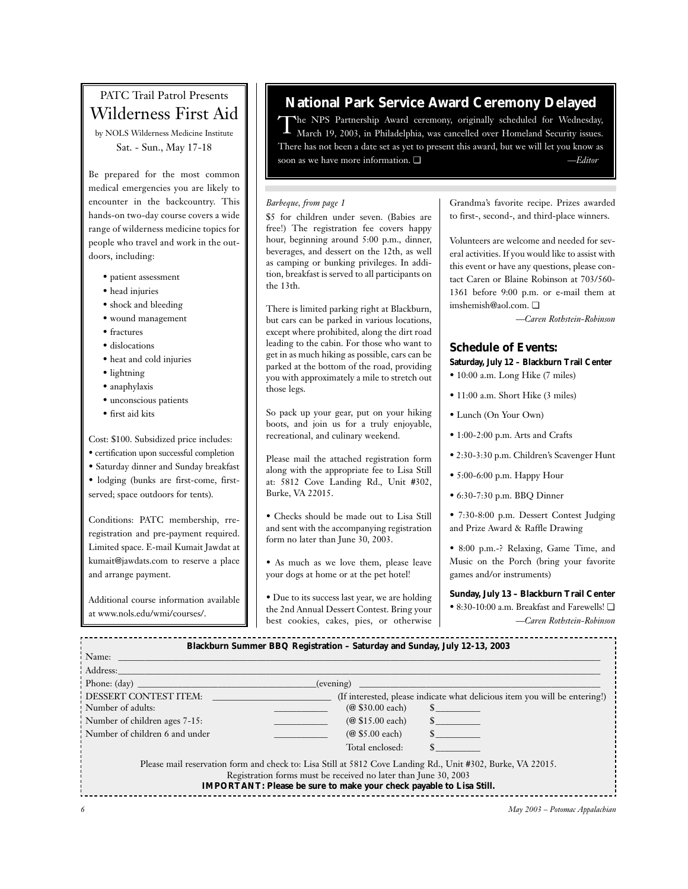# PATC Trail Patrol Presents Wilderness First Aid

by NOLS Wilderness Medicine Institute Sat. - Sun., May 17-18

Be prepared for the most common medical emergencies you are likely to encounter in the backcountry. This hands-on two-day course covers a wide range of wilderness medicine topics for people who travel and work in the outdoors, including:

- patient assessment
- head injuries
- shock and bleeding
- wound management
- fractures
- dislocations
- heat and cold injuries
- lightning
- anaphylaxis
- unconscious patients
- first aid kits

Cost: \$100. Subsidized price includes: • certification upon successful completion

- Saturday dinner and Sunday breakfast • lodging (bunks are first-come, first-
- served; space outdoors for tents).

Conditions: PATC membership, rreregistration and pre-payment required. Limited space. E-mail Kumait Jawdat at kumait@jawdats.com to reserve a place and arrange payment.

Additional course information available at www.nols.edu/wmi/courses/.

## **National Park Service Award Ceremony Delayed**

The NPS Partnership Award ceremony, originally scheduled for Wednesday, March 19, 2003, in Philadelphia, was cancelled over Homeland Security issues. There has not been a date set as yet to present this award, but we will let you know as soon as we have more information. ❏ *—Editor*

## *Barbeque, from page 1*

\$5 for children under seven. (Babies are free!) The registration fee covers happy hour, beginning around 5:00 p.m., dinner, beverages, and dessert on the 12th, as well as camping or bunking privileges. In addition, breakfast is served to all participants on the 13th.

There is limited parking right at Blackburn, but cars can be parked in various locations, except where prohibited, along the dirt road leading to the cabin. For those who want to get in as much hiking as possible, cars can be parked at the bottom of the road, providing you with approximately a mile to stretch out those legs.

So pack up your gear, put on your hiking boots, and join us for a truly enjoyable, recreational, and culinary weekend.

Please mail the attached registration form along with the appropriate fee to Lisa Still at: 5812 Cove Landing Rd., Unit #302, Burke, VA 22015.

• Checks should be made out to Lisa Still and sent with the accompanying registration form no later than June 30, 2003.

• As much as we love them, please leave your dogs at home or at the pet hotel!

• Due to its success last year, we are holding the 2nd Annual Dessert Contest. Bring your best cookies, cakes, pies, or otherwise Grandma's favorite recipe. Prizes awarded to first-, second-, and third-place winners.

Volunteers are welcome and needed for several activities. If you would like to assist with this event or have any questions, please contact Caren or Blaine Robinson at 703/560- 1361 before 9:00 p.m. or e-mail them at imshemish@aol.com. ❏

*—Caren Rothstein-Robinson*

## **Schedule of Events:**

## **Saturday, July 12 – Blackburn Trail Center**

- 10:00 a.m. Long Hike (7 miles)
- 11:00 a.m. Short Hike (3 miles)
- Lunch (On Your Own)
- 1:00-2:00 p.m. Arts and Crafts
- 2:30-3:30 p.m. Children's Scavenger Hunt
- 5:00-6:00 p.m. Happy Hour
- 6:30-7:30 p.m. BBQ Dinner
- 7:30-8:00 p.m. Dessert Contest Judging and Prize Award & Raffle Drawing
- 8:00 p.m.-? Relaxing, Game Time, and Music on the Porch (bring your favorite games and/or instruments)

#### **Sunday, July 13 – Blackburn Trail Center**

• 8:30-10:00 a.m. Breakfast and Farewells! ❏ *—Caren Rothstein-Robinson*

| Blackburn Summer BBQ Registration - Saturday and Sunday, July 12-13, 2003                                                              |                  |                                                                                                                                                                                                                                                                                                                                 |  |
|----------------------------------------------------------------------------------------------------------------------------------------|------------------|---------------------------------------------------------------------------------------------------------------------------------------------------------------------------------------------------------------------------------------------------------------------------------------------------------------------------------|--|
| Name:                                                                                                                                  |                  |                                                                                                                                                                                                                                                                                                                                 |  |
| Address:                                                                                                                               |                  |                                                                                                                                                                                                                                                                                                                                 |  |
| Phone: $(\text{day})$<br>(evening)                                                                                                     |                  |                                                                                                                                                                                                                                                                                                                                 |  |
| DESSERT CONTEST ITEM:                                                                                                                  |                  | (If interested, please indicate what delicious item you will be entering!)                                                                                                                                                                                                                                                      |  |
| Number of adults:                                                                                                                      | (@ \$30.00 each) | $\mathbf S$ and $\mathbf S$ and $\mathbf S$ and $\mathbf S$ and $\mathbf S$ and $\mathbf S$ and $\mathbf S$ and $\mathbf S$ and $\mathbf S$ and $\mathbf S$ and $\mathbf S$ and $\mathbf S$ and $\mathbf S$ and $\mathbf S$ and $\mathbf S$ and $\mathbf S$ and $\mathbf S$ and $\mathbf S$ and $\mathbf S$ and $\mathbf S$ and |  |
| Number of children ages 7-15:                                                                                                          | (@ \$15.00 each) | $\mathbb{S}$ and $\mathbb{S}$                                                                                                                                                                                                                                                                                                   |  |
| Number of children 6 and under                                                                                                         | (@ \$5.00 each)  | $\mathbb{S}$ and $\mathbb{S}$                                                                                                                                                                                                                                                                                                   |  |
|                                                                                                                                        | Total enclosed:  |                                                                                                                                                                                                                                                                                                                                 |  |
| Please mail reservation form and check to: Lisa Still at 5812 Cove Landing Rd., Unit #302, Burke, VA 22015.                            |                  |                                                                                                                                                                                                                                                                                                                                 |  |
| Registration forms must be received no later than June 30, 2003<br>IMPORTANT: Please be sure to make your check payable to Lisa Still. |                  |                                                                                                                                                                                                                                                                                                                                 |  |
|                                                                                                                                        |                  |                                                                                                                                                                                                                                                                                                                                 |  |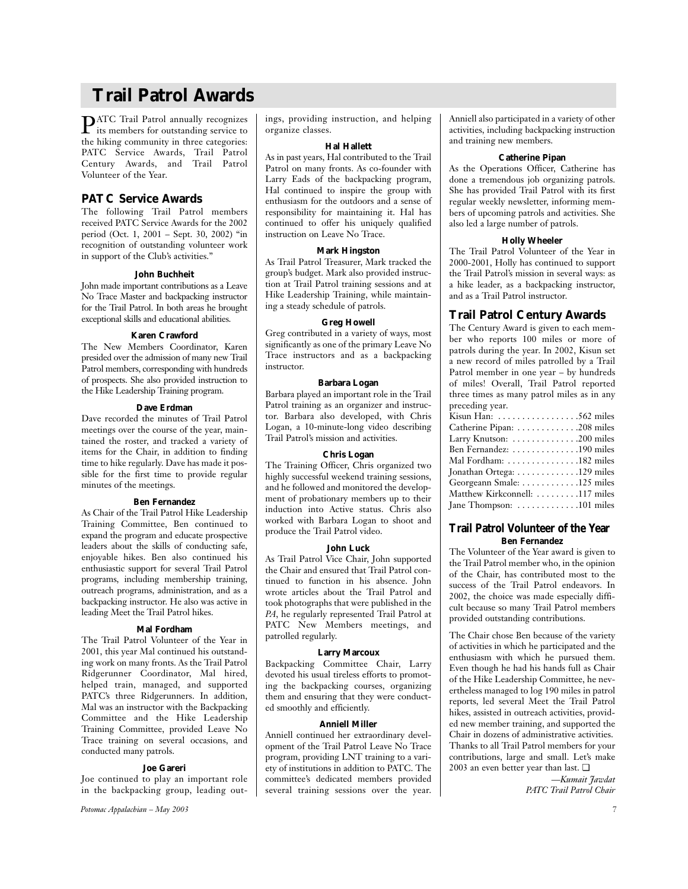# **Trail Patrol Awards**

PATC Trail Patrol annually recognizes its members for outstanding service to the hiking community in three categories: PATC Service Awards, Trail Patrol Century Awards, and Trail Patrol Volunteer of the Year.

## **PATC Service Awards**

The following Trail Patrol members received PATC Service Awards for the 2002 period (Oct. 1, 2001 – Sept. 30, 2002) "in recognition of outstanding volunteer work in support of the Club's activities."

#### **John Buchheit**

John made important contributions as a Leave No Trace Master and backpacking instructor for the Trail Patrol. In both areas he brought exceptional skills and educational abilities.

## **Karen Crawford**

The New Members Coordinator, Karen presided over the admission of many new Trail Patrol members, corresponding with hundreds of prospects. She also provided instruction to the Hike Leadership Training program.

## **Dave Erdman**

Dave recorded the minutes of Trail Patrol meetings over the course of the year, maintained the roster, and tracked a variety of items for the Chair, in addition to finding time to hike regularly. Dave has made it possible for the first time to provide regular minutes of the meetings.

## **Ben Fernandez**

As Chair of the Trail Patrol Hike Leadership Training Committee, Ben continued to expand the program and educate prospective leaders about the skills of conducting safe, enjoyable hikes. Ben also continued his enthusiastic support for several Trail Patrol programs, including membership training, outreach programs, administration, and as a backpacking instructor. He also was active in leading Meet the Trail Patrol hikes.

## **Mal Fordham**

The Trail Patrol Volunteer of the Year in 2001, this year Mal continued his outstanding work on many fronts. As the Trail Patrol Ridgerunner Coordinator, Mal hired, helped train, managed, and supported PATC's three Ridgerunners. In addition, Mal was an instructor with the Backpacking Committee and the Hike Leadership Training Committee, provided Leave No Trace training on several occasions, and conducted many patrols.

#### **Joe Gareri**

Joe continued to play an important role in the backpacking group, leading out-

Potomac Appalachian - May 2003

ings, providing instruction, and helping organize classes.

## **Hal Hallett**

As in past years, Hal contributed to the Trail Patrol on many fronts. As co-founder with Larry Eads of the backpacking program, Hal continued to inspire the group with enthusiasm for the outdoors and a sense of responsibility for maintaining it. Hal has continued to offer his uniquely qualified instruction on Leave No Trace.

#### **Mark Hingston**

As Trail Patrol Treasurer, Mark tracked the group's budget. Mark also provided instruction at Trail Patrol training sessions and at Hike Leadership Training, while maintaining a steady schedule of patrols.

### **Greg Howell**

Greg contributed in a variety of ways, most significantly as one of the primary Leave No Trace instructors and as a backpacking instructor.

## **Barbara Logan**

Barbara played an important role in the Trail Patrol training as an organizer and instructor. Barbara also developed, with Chris Logan, a 10-minute-long video describing Trail Patrol's mission and activities.

### **Chris Logan**

The Training Officer, Chris organized two highly successful weekend training sessions, and he followed and monitored the development of probationary members up to their induction into Active status. Chris also worked with Barbara Logan to shoot and produce the Trail Patrol video.

## **John Luck**

As Trail Patrol Vice Chair, John supported the Chair and ensured that Trail Patrol continued to function in his absence. John wrote articles about the Trail Patrol and took photographs that were published in the *PA*, he regularly represented Trail Patrol at PATC New Members meetings, and patrolled regularly.

#### **Larry Marcoux**

Backpacking Committee Chair, Larry devoted his usual tireless efforts to promoting the backpacking courses, organizing them and ensuring that they were conducted smoothly and efficiently.

## **Anniell Miller**

Anniell continued her extraordinary development of the Trail Patrol Leave No Trace program, providing LNT training to a variety of institutions in addition to PATC. The committee's dedicated members provided several training sessions over the year. Anniell also participated in a variety of other activities, including backpacking instruction and training new members.

#### **Catherine Pipan**

As the Operations Officer, Catherine has done a tremendous job organizing patrols. She has provided Trail Patrol with its first regular weekly newsletter, informing members of upcoming patrols and activities. She also led a large number of patrols.

### **Holly Wheeler**

The Trail Patrol Volunteer of the Year in 2000-2001, Holly has continued to support the Trail Patrol's mission in several ways: as a hike leader, as a backpacking instructor, and as a Trail Patrol instructor.

## **Trail Patrol Century Awards**

The Century Award is given to each member who reports 100 miles or more of patrols during the year. In 2002, Kisun set a new record of miles patrolled by a Trail Patrol member in one year – by hundreds of miles! Overall, Trail Patrol reported three times as many patrol miles as in any preceding year. Kisun Han: . . . . . . . . . . . . . . . . .562 miles Catherine Pipan: . . . . . . . . . . . . .208 miles Larry Knutson: . . . . . . . . . . . . . .200 miles Ben Fernandez: . . . . . . . . . . . . . .190 miles Mal Fordham: . . . . . . . . . . . . . . .182 miles Jonathan Ortega: . . . . . . . . . . . . .129 miles Georgeann Smale: . . . . . . . . . . . .125 miles Matthew Kirkconnell: . . . . . . . . .117 miles Jane Thompson: . . . . . . . . . . . . .101 miles

## **Trail Patrol Volunteer of the Year Ben Fernandez**

The Volunteer of the Year award is given to the Trail Patrol member who, in the opinion of the Chair, has contributed most to the success of the Trail Patrol endeavors. In 2002, the choice was made especially difficult because so many Trail Patrol members provided outstanding contributions.

The Chair chose Ben because of the variety of activities in which he participated and the enthusiasm with which he pursued them. Even though he had his hands full as Chair of the Hike Leadership Committee, he nevertheless managed to log 190 miles in patrol reports, led several Meet the Trail Patrol hikes, assisted in outreach activities, provided new member training, and supported the Chair in dozens of administrative activities. Thanks to all Trail Patrol members for your contributions, large and small. Let's make 2003 an even better year than last. ❏

> *—Kumait Jawdat PATC Trail Patrol Chair*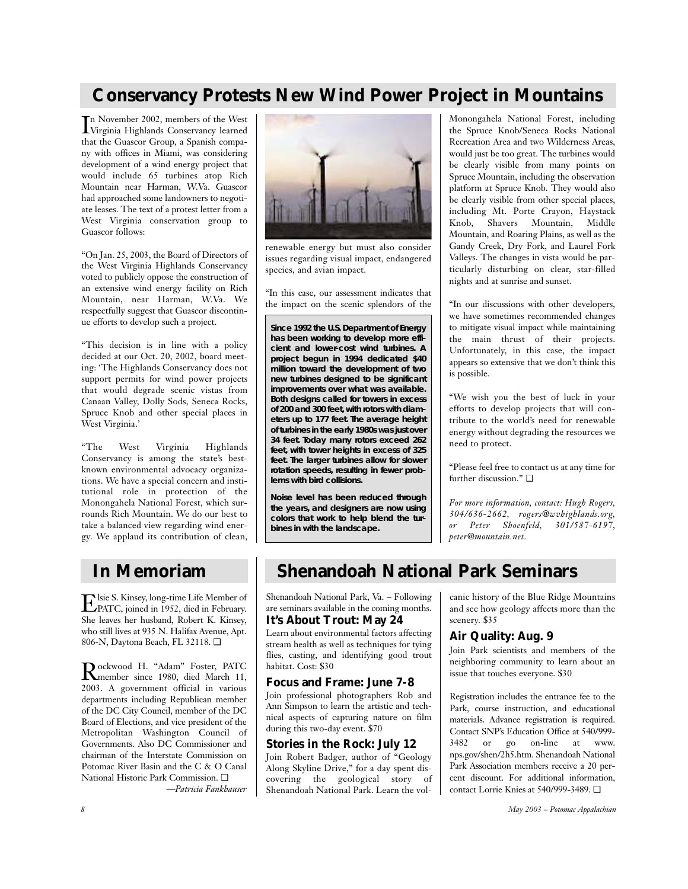# **Conservancy Protests New Wind Power Project in Mountains**

I Virginia Highlands Conservancy learned n November 2002, members of the West that the Guascor Group, a Spanish company with offices in Miami, was considering development of a wind energy project that would include 65 turbines atop Rich Mountain near Harman, W.Va. Guascor had approached some landowners to negotiate leases. The text of a protest letter from a West Virginia conservation group to Guascor follows:

"On Jan. 25, 2003, the Board of Directors of the West Virginia Highlands Conservancy voted to publicly oppose the construction of an extensive wind energy facility on Rich Mountain, near Harman, W.Va. We respectfully suggest that Guascor discontinue efforts to develop such a project.

"This decision is in line with a policy decided at our Oct. 20, 2002, board meeting: 'The Highlands Conservancy does not support permits for wind power projects that would degrade scenic vistas from Canaan Valley, Dolly Sods, Seneca Rocks, Spruce Knob and other special places in West Virginia.'

"The West Virginia Highlands Conservancy is among the state's bestknown environmental advocacy organizations. We have a special concern and institutional role in protection of the Monongahela National Forest, which surrounds Rich Mountain. We do our best to take a balanced view regarding wind energy. We applaud its contribution of clean,



renewable energy but must also consider issues regarding visual impact, endangered species, and avian impact.

"In this case, our assessment indicates that the impact on the scenic splendors of the

**Since 1992 the U.S. Department of Energy has been working to develop more efficient and lower-cost wind turbines. A project begun in 1994 dedicated \$40 million toward the development of two new turbines designed to be significant improvements over what was available. Both designs called for towers in excess of 200 and 300 feet, with rotors with diameters up to 177 feet. The average height of turbines in the early 1980s was just over 34 feet. Today many rotors exceed 262 feet, with tower heights in excess of 325 feet. The larger turbines allow for slower rotation speeds, resulting in fewer problems with bird collisions.**

**Noise level has been reduced through the years, and designers are now using colors that work to help blend the turbines in with the landscape.**

Monongahela National Forest, including the Spruce Knob/Seneca Rocks National Recreation Area and two Wilderness Areas, would just be too great. The turbines would be clearly visible from many points on Spruce Mountain, including the observation platform at Spruce Knob. They would also be clearly visible from other special places, including Mt. Porte Crayon, Haystack Knob, Shavers Mountain, Middle Mountain, and Roaring Plains, as well as the Gandy Creek, Dry Fork, and Laurel Fork Valleys. The changes in vista would be particularly disturbing on clear, star-filled nights and at sunrise and sunset.

"In our discussions with other developers, we have sometimes recommended changes to mitigate visual impact while maintaining the main thrust of their projects. Unfortunately, in this case, the impact appears so extensive that we don't think this is possible.

"We wish you the best of luck in your efforts to develop projects that will contribute to the world's need for renewable energy without degrading the resources we need to protect.

"Please feel free to contact us at any time for further discussion." ❏

*For more information, contact: Hugh Rogers, 304/636-2662, rogers@wvhighlands.org, or Peter Shoenfeld, 301/587-6197, peter@mountain.net.*

Elsie S. Kinsey, long-time Life Member of PATC, joined in 1952, died in February. She leaves her husband, Robert K. Kinsey, who still lives at 935 N. Halifax Avenue, Apt. 806-N, Daytona Beach, FL 32118. ❏

Rockwood H. "Adam" Foster, PATC member since 1980, died March 11, 2003. A government official in various departments including Republican member of the DC City Council, member of the DC Board of Elections, and vice president of the Metropolitan Washington Council of Governments. Also DC Commissioner and chairman of the Interstate Commission on Potomac River Basin and the C & O Canal National Historic Park Commission. ❏

*—Patricia Fankhauser*

# **In Memoriam Shenandoah National Park Seminars**

Shenandoah National Park, Va. – Following are seminars available in the coming months. **It's About Trout: May 24**

Learn about environmental factors affecting stream health as well as techniques for tying flies, casting, and identifying good trout habitat. Cost: \$30

## **Focus and Frame: June 7-8**

Join professional photographers Rob and Ann Simpson to learn the artistic and technical aspects of capturing nature on film during this two-day event. \$70

## **Stories in the Rock: July 12**

Join Robert Badger, author of "Geology Along Skyline Drive," for a day spent discovering the geological story of Shenandoah National Park. Learn the volcanic history of the Blue Ridge Mountains and see how geology affects more than the scenery. \$35

## **Air Quality: Aug. 9**

Join Park scientists and members of the neighboring community to learn about an issue that touches everyone. \$30

Registration includes the entrance fee to the Park, course instruction, and educational materials. Advance registration is required. Contact SNP's Education Office at 540/999-<br>3482 or go on-line at www. or go on-line at www. nps.gov/shen/2h5.htm. Shenandoah National Park Association members receive a 20 percent discount. For additional information, contact Lorrie Knies at 540/999-3489. ❏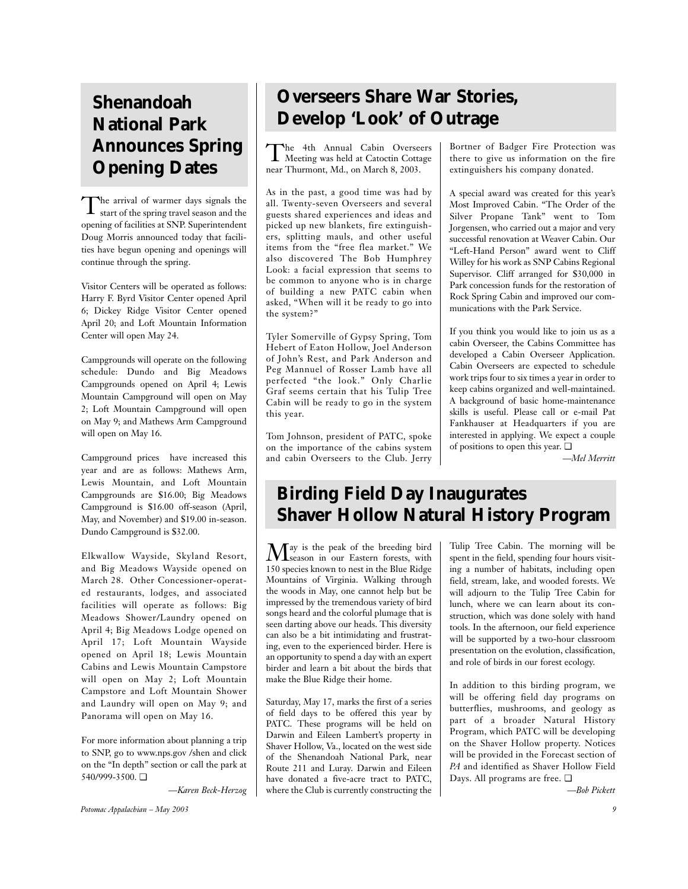# **Shenandoah National Park Announces Spring Opening Dates**

The arrival of warmer days signals the start of the spring travel season and the opening of facilities at SNP. Superintendent Doug Morris announced today that facilities have begun opening and openings will continue through the spring.

Visitor Centers will be operated as follows: Harry F. Byrd Visitor Center opened April 6; Dickey Ridge Visitor Center opened April 20; and Loft Mountain Information Center will open May 24.

Campgrounds will operate on the following schedule: Dundo and Big Meadows Campgrounds opened on April 4; Lewis Mountain Campground will open on May 2; Loft Mountain Campground will open on May 9; and Mathews Arm Campground will open on May 16.

Campground prices have increased this year and are as follows: Mathews Arm, Lewis Mountain, and Loft Mountain Campgrounds are \$16.00; Big Meadows Campground is \$16.00 off-season (April, May, and November) and \$19.00 in-season. Dundo Campground is \$32.00.

Elkwallow Wayside, Skyland Resort, and Big Meadows Wayside opened on March 28. Other Concessioner-operated restaurants, lodges, and associated facilities will operate as follows: Big Meadows Shower/Laundry opened on April 4; Big Meadows Lodge opened on April 17; Loft Mountain Wayside opened on April 18; Lewis Mountain Cabins and Lewis Mountain Campstore will open on May 2; Loft Mountain Campstore and Loft Mountain Shower and Laundry will open on May 9; and Panorama will open on May 16.

For more information about planning a trip to SNP, go to www.nps.gov /shen and click on the "In depth" section or call the park at 540/999-3500. ❏

*—Karen Beck-Herzog*

**Overseers Share War Stories, Develop 'Look' of Outrage**

The 4th Annual Cabin Overseers Meeting was held at Catoctin Cottage near Thurmont, Md., on March 8, 2003.

As in the past, a good time was had by all. Twenty-seven Overseers and several guests shared experiences and ideas and picked up new blankets, fire extinguishers, splitting mauls, and other useful items from the "free flea market." We also discovered The Bob Humphrey Look: a facial expression that seems to be common to anyone who is in charge of building a new PATC cabin when asked, "When will it be ready to go into the system?"

Tyler Somerville of Gypsy Spring, Tom Hebert of Eaton Hollow, Joel Anderson of John's Rest, and Park Anderson and Peg Mannuel of Rosser Lamb have all perfected "the look." Only Charlie Graf seems certain that his Tulip Tree Cabin will be ready to go in the system this year.

Tom Johnson, president of PATC, spoke on the importance of the cabins system and cabin Overseers to the Club. Jerry Bortner of Badger Fire Protection was there to give us information on the fire extinguishers his company donated.

A special award was created for this year's Most Improved Cabin. "The Order of the Silver Propane Tank" went to Tom Jorgensen, who carried out a major and very successful renovation at Weaver Cabin. Our "Left-Hand Person" award went to Cliff Willey for his work as SNP Cabins Regional Supervisor. Cliff arranged for \$30,000 in Park concession funds for the restoration of Rock Spring Cabin and improved our communications with the Park Service.

If you think you would like to join us as a cabin Overseer, the Cabins Committee has developed a Cabin Overseer Application. Cabin Overseers are expected to schedule work trips four to six times a year in order to keep cabins organized and well-maintained. A background of basic home-maintenance skills is useful. Please call or e-mail Pat Fankhauser at Headquarters if you are interested in applying. We expect a couple of positions to open this year. ❏

*—Mel Merritt*

# **Birding Field Day Inaugurates Shaver Hollow Natural History Program**

May is the peak of the breeding bird season in our Eastern forests, with 150 species known to nest in the Blue Ridge Mountains of Virginia. Walking through the woods in May, one cannot help but be impressed by the tremendous variety of bird songs heard and the colorful plumage that is seen darting above our heads. This diversity can also be a bit intimidating and frustrating, even to the experienced birder. Here is an opportunity to spend a day with an expert birder and learn a bit about the birds that make the Blue Ridge their home.

Saturday, May 17, marks the first of a series of field days to be offered this year by PATC. These programs will be held on Darwin and Eileen Lambert's property in Shaver Hollow, Va., located on the west side of the Shenandoah National Park, near Route 211 and Luray. Darwin and Eileen have donated a five-acre tract to PATC, where the Club is currently constructing the Tulip Tree Cabin. The morning will be spent in the field, spending four hours visiting a number of habitats, including open field, stream, lake, and wooded forests. We will adjourn to the Tulip Tree Cabin for lunch, where we can learn about its construction, which was done solely with hand tools. In the afternoon, our field experience will be supported by a two-hour classroom presentation on the evolution, classification, and role of birds in our forest ecology.

In addition to this birding program, we will be offering field day programs on butterflies, mushrooms, and geology as part of a broader Natural History Program, which PATC will be developing on the Shaver Hollow property. Notices will be provided in the Forecast section of *PA* and identified as Shaver Hollow Field Days. All programs are free. ❏

*—Bob Pickett*

*Potomac Appalachian – May 2003 9*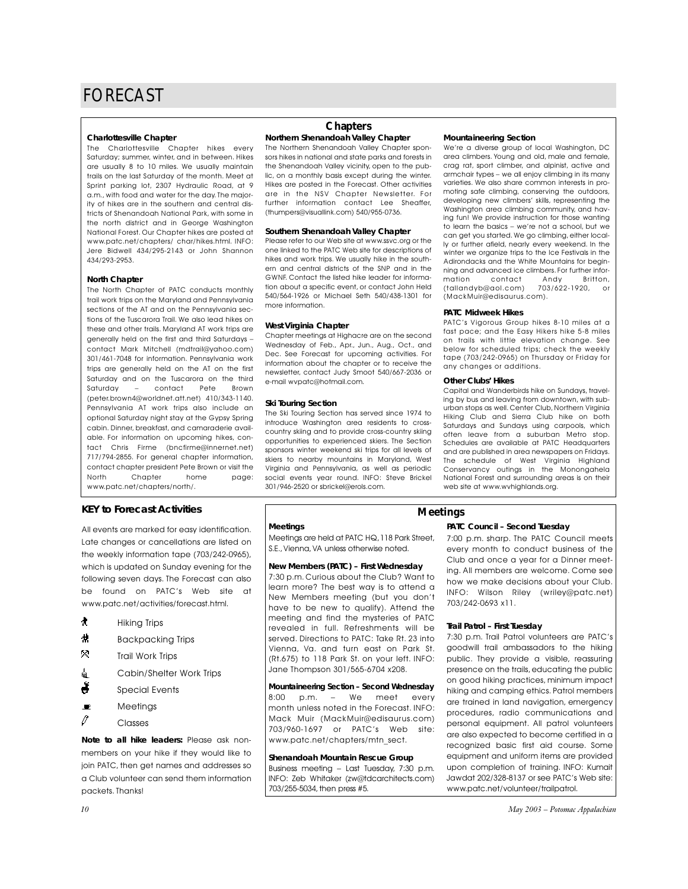#### **Charlottesville Chapter**

The Charlottesville Chapter hikes every Saturday; summer, winter, and in between. Hikes are usually 8 to 10 miles. We usually maintain trails on the last Saturday of the month. Meet at Sprint parking lot, 2307 Hydraulic Road, at 9 a.m., with food and water for the day. The majority of hikes are in the southern and central districts of Shenandoah National Park, with some in the north district and in George Washington National Forest. Our Chapter hikes are posted at www.patc.net/chapters/ char/hikes.html. INFO: Jere Bidwell 434/295-2143 or John Shannon 434/293-2953.

#### **North Chapter**

The North Chapter of PATC conducts monthly trail work trips on the Maryland and Pennsylvania sections of the AT and on the Pennsylvania sections of the Tuscarora Trail. We also lead hikes on these and other trails. Maryland AT work trips are generally held on the first and third Saturdays – contact Mark Mitchell (mdtrail@yahoo.com) 301/461-7048 for information. Pennsylvania work trips are generally held on the AT on the first Saturday and on the Tuscarora on the third Saturday – contact Pete Brown (peter.brown4@worldnet.att.net) 410/343-1140. Pennsylvania AT work trips also include an optional Saturday night stay at the Gypsy Spring cabin. Dinner, breakfast, and camaraderie available. For information on upcoming hikes, contact Chris Firme (bncfirme@innernet.net) 717/794-2855. For general chapter information, contact chapter president Pete Brown or visit the North Chapter home page: www.patc.net/chapters/north/.

### **KEY to Forecast Activities**

All events are marked for easy identification. Late changes or cancellations are listed on the weekly information tape (703/242-0965), which is updated on Sunday evening for the following seven days. The Forecast can also be found on PATC's Web site at www.patc.net/activities/forecast.html.

- $\bigstar$  Hiking Trips
- $\sharp$  Backpacking Trips
- .Trail Work Trips
- di Cabin/Shelter Work Trips
- $\ddot{\bullet}$  Special Events
- $\blacksquare$  Meetings
- $\ell$  Classes

*Note to all hike leaders:* Please ask nonmembers on your hike if they would like to join PATC, then get names and addresses so a Club volunteer can send them information packets. Thanks!

## **Chapters**

#### **Northern Shenandoah Valley Chapter**

The Northern Shenandoah Valley Chapter sponsors hikes in national and state parks and forests in the Shenandoah Valley vicinity, open to the public, on a monthly basis except during the winter. Hikes are posted in the Forecast. Other activities are in the NSV Chapter Newsletter. For further information contact Lee Sheaffer, (thumpers@visuallink.com) 540/955-0736.

#### **Southern Shenandoah Valley Chapter**

Please refer to our Web site at www.ssvc.org or the one linked to the PATC Web site for descriptions of hikes and work trips. We usually hike in the southern and central districts of the SNP and in the GWNF. Contact the listed hike leader for information about a specific event, or contact John Held 540/564-1926 or Michael Seth 540/438-1301 for more information.

#### **West Virginia Chapter**

Chapter meetings at Highacre are on the second Wednesday of Feb., Apr., Jun., Aug., Oct., and Dec. See Forecast for upcoming activities. For information about the chapter or to receive the newsletter, contact Judy Smoot 540/667-2036 or e-mail wvpatc@hotmail.com.

#### **Ski Touring Section**

**Meetings**

The Ski Touring Section has served since 1974 to introduce Washington area residents to crosscountry skiing and to provide cross-country skiing opportunities to experienced skiers. The Section sponsors winter weekend ski trips for all levels of skiers to nearby mountains in Maryland, West Virginia and Pennsylvania, as well as periodic social events year round. INFO: Steve Brickel 301/946-2520 or sbrickel@erols.com.

Meetings are held at PATC HQ,118 Park Street, S.E., Vienna, VA unless otherwise noted. **New Members (PATC) – First Wednesday** 7:30 p.m. Curious about the Club? Want to learn more? The best way is to attend a New Members meeting (but you don't have to be new to qualify). Attend the meeting and find the mysteries of PATC revealed in full. Refreshments will be served. Directions to PATC: Take Rt. 23 into Vienna, Va. and turn east on Park St. (Rt.675) to 118 Park St. on your left. INFO: Jane Thompson 301/565-6704 x208.

**Mountaineering Section – Second Wednesday** 8:00 p.m. – We meet every month unless noted in the Forecast. INFO: Mack Muir (MackMuir@edisaurus.com) 703/960-1697 or PATC's Web site: www.patc.net/chapters/mtn\_sect. **Shenandoah Mountain Rescue Group** Business meeting – Last Tuesday, 7:30 p.m. INFO: Zeb Whitaker (zw@tdcarchitects.com)

703/255-5034, then press #5.

#### **Mountaineering Section**

We're a diverse group of local Washington, DC area climbers. Young and old, male and female, crag rat, sport climber, and alpinist, active and armchair types – we all enjoy climbing in its many varieties. We also share common interests in promoting safe climbing, conserving the outdoors, developing new climbers' skills, representing the Washington area climbing community, and having fun! We provide instruction for those wanting to learn the basics – we're not a school, but we can get you started. We go climbing, either locally or further afield, nearly every weekend. In the winter we organize trips to the Ice Festivals in the Adirondacks and the White Mountains for beginning and advanced ice climbers. For further information contact Andy Britton,<br>(tallandyb@aol.com) 703/622-1920, or (tallandyb@aol.com) (MackMuir@edisaurus.com).

#### **PATC Midweek Hikes**

PATC's Vigorous Group hikes 8-10 miles at a fast pace; and the Easy Hikers hike 5-8 miles on trails with little elevation change. See below for scheduled trips; check the weekly tape (703/242-0965) on Thursday or Friday for any changes or additions.

#### **Other Clubs' Hikes**

Capital and Wanderbirds hike on Sundays, traveling by bus and leaving from downtown, with suburban stops as well. Center Club, Northern Virginia Hiking Club and Sierra Club hike on both Saturdays and Sundays using carpools, which often leave from a suburban Metro stop. Schedules are available at PATC Headquarters and are published in area newspapers on Fridays. The schedule of West Virginia Highland Conservancy outings in the Monongahela National Forest and surrounding areas is on their web site at www.wvhighlands.org.

## **Meetings**

#### **PATC Council – Second Tuesday**

7:00 p.m. sharp. The PATC Council meets every month to conduct business of the Club and once a year for a Dinner meeting. All members are welcome. Come see how we make decisions about your Club. INFO: Wilson Riley (wriley@patc.net) 703/242-0693 x11.

## **Trail Patrol – First Tuesday**

7:30 p.m. Trail Patrol volunteers are PATC's goodwill trail ambassadors to the hiking public. They provide a visible, reassuring presence on the trails, educating the public on good hiking practices, minimum impact hiking and camping ethics. Patrol members are trained in land navigation, emergency procedures, radio communications and personal equipment. All patrol volunteers are also expected to become certified in a recognized basic first aid course. Some equipment and uniform items are provided upon completion of training. INFO: Kumait Jawdat 202/328-8137 or see PATC's Web site: www.patc.net/volunteer/trailpatrol.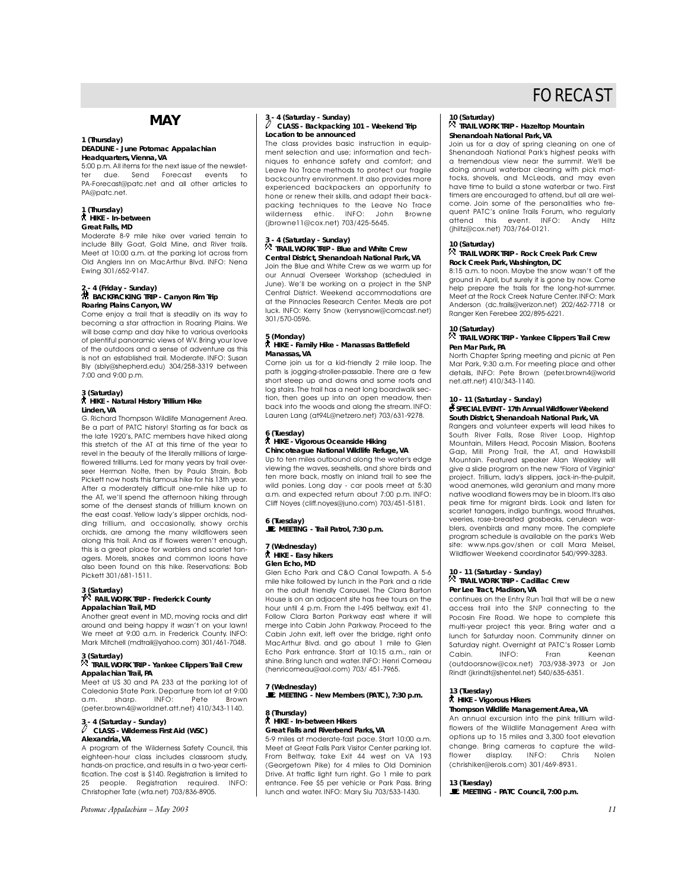## **MAY**

## **1 (Thursday) DEADLINE - June** *Potomac Appalachian* **Headquarters, Vienna, VA**

5:00 p.m.All items for the next issue of the newsletter due. Send Forecast events to PA-Forecast@patc.net and all other articles to PA@patc.net.

#### **1 (Thursday)** ` **HIKE - In-between Great Falls, MD**

Moderate 8-9 mile hike over varied terrain to include Billy Goat, Gold Mine, and River trails. Meet at 10:00 a.m. at the parking lot across from Old Anglers Inn on MacArthur Blvd. INFO: Nena Ewing 301/652-9147.

## **2 - 4 (Friday - Sunday)** ~ **BACKPACKING TRIP - Canyon Rim Trip Roaring Plains Canyon, WV**

Come enjoy a trail that is steadily on its way to becoming a star attraction in Roaring Plains. We will base camp and day hike to various overlooks of plentiful panoramic views of WV. Bring your love of the outdoors and a sense of adventure as this is not an established trail. Moderate. INFO: Susan Bly (sbly@shepherd.edu) 304/258-3319 between 7:00 and 9:00 p.m.

## **3 (Saturday)** ` **HIKE - Natural History Trillium Hike Linden, VA**

G. Richard Thompson Wildlife Management Area. Be a part of PATC history! Starting as far back as the late 1920's, PATC members have hiked along this stretch of the AT at this time of the year to revel in the beauty of the literally millions of largeflowered trilliums. Led for many years by trail overseer Herman Nolte, then by Paula Strain, Bob Pickett now hosts this famous hike for his 13th year. After a moderately difficult one-mile hike up to the AT, we'll spend the afternoon hiking through some of the densest stands of trillium known on the east coast. Yellow lady's slipper orchids, nodding trillium, and occasionally, showy orchis orchids, are among the many wildflowers seen along this trail. And as if flowers weren't enough, this is a great place for warblers and scarlet tanagers. Morels, snakes and common loons have also been found on this hike. Reservations: Bob Pickett 301/681-1511.

#### **3 (Saturday) <sup>T</sup>**. **RAIL WORK TRIP - Frederick County Appalachian Trail, MD**

Another great event in MD, moving rocks and dirt around and being happy it wasn't on your lawn! We meet at 9:00 a.m. in Frederick County. INFO: Mark Mitchell (mdtrail@yahoo.com) 301/461-7048.

## **3 (Saturday)** . **TRAIL WORK TRIP - Yankee Clippers Trail Crew Appalachian Trail, PA**

Meet at US 30 and PA 233 at the parking lot of Caledonia State Park. Departure from lot at 9:00<br>a.m. sharp. INFO: Pete Brown a.m. sharp. (peter.brown4@worldnet.att.net) 410/343-1140.<br>3-4 (Saturday - Sunday)<br> $\int_C$  CLASS - Wildowses Fire at a function

## **3 - 4 (Saturday - Sunday)** <sup>a</sup> **CLASS - Wilderness First Aid (WSC) Alexandria, VA**

A program of the Wilderness Safety Council, this eighteen-hour class includes classroom study, hands-on practice, and results in a two-year certification. The cost is \$140. Registration is limited to 25 people Registration required INFO: 25 people. Registration required. INFO: Christopher Tate (wfa.net) 703/836-8905.

*Potomac Appalachian – May 2003 11*

## **3 - 4 (Saturday - Sunday)** <sup>a</sup> **CLASS - Backpacking 101 – Weekend Trip Location to be announced**

The class provides basic instruction in equipment selection and use; information and techniques to enhance safety and comfort; and Leave No Trace methods to protect our fragile backcountry environment. It also provides more experienced backpackers an opportunity to hone or renew their skills, and adapt their backpacking techniques to the Leave No Trace<br>wilderness ethic INFO: John Browne wilderness ethic. INFO: (jbrowne11@cox.net) 703/425-5645.

## **3 - 4 (Saturday - Sunday)**

## . **TRAIL WORK TRIP - Blue and White Crew Central District, Shenandoah National Park, VA**

Join the Blue and White Crew as we warm up for our Annual Overseer Workshop (scheduled in June). We'll be working on a project in the SNP Central District. Weekend accommodations are at the Pinnacles Research Center. Meals are pot luck. INFO: Kerry Snow (kerrysnow@comcast.net) 301/570-0596.

#### **5 (Monday)** ` **HIKE - Family Hike - Manassas Battlefield Manassas, VA**

Come join us for a kid-friendly 2 mile loop. The path is jogging-stroller-passable. There are a few short steep up and downs and some roots and log stairs. The trail has a neat long boardwalk section, then goes up into an open meadow, then back into the woods and along the stream. INFO: Lauren Lang (at94L@netzero.net) 703/631-9278.

## **6 (Tuesday)**  ` **HIKE - Vigorous Oceanside Hiking Chincoteague National Wildlife Refuge, VA**

Up to ten miles outbound along the water's edge viewing the waves, seashells, and shore birds and ten more back, mostly on inland trail to see the wild ponies. Long day - car pools meet at 5:30 a.m. and expected return about 7:00 p.m. INFO: Cliff Noyes (cliff.noyes@juno.com) 703/451-5181.

**6 (Tuesday)**  \**MEETING - Trail Patrol, 7:30 p.m.**

## **7 (Wednesday)**  ` **HIKE - Easy hikers**

**Glen Echo, MD** Glen Echo Park and C&O Canal Towpath. A 5-6

mile hike followed by lunch in the Park and a ride on the adult friendly Carousel. The Clara Barton House is on an adjacent site has free tours on the hour until 4 p.m. From the I-495 beltway, exit 41. Follow Clara Barton Parkway east where it will merge into Cabin John Parkway. Proceed to the Cabin John exit, left over the bridge, right onto MacArthur Blvd. and go about 1 mile to Glen Echo Park entrance. Start at 10:15 a.m., rain or shine. Bring lunch and water. INFO: Henri Comeau (henricomeau@aol.com) 703/ 451-7965.

#### **7 (Wednesday)**

\**MEETING - New Members (PATC), 7:30 p.m.**

#### **8 (Thursday)** ` **HIKE - In-between Hikers Great Falls and Riverbend Parks, VA**

5-9 miles at moderate-fast pace. Start 10:00 a.m. Meet at Great Falls Park Visitor Center parking lot. From Beltway, take Exit 44 west on VA 193 (Georgetown Pike) for 4 miles to Old Dominion Drive. At traffic light turn right. Go 1 mile to park entrance. Fee \$5 per vehicle or Park Pass. Bring lunch and water. INFO: Mary Siu 703/533-1430.

## **10 (Saturday)** . **TRAIL WORK TRIP - Hazeltop Mountain Shenandoah National Park, VA**

Join us for a day of spring cleaning on one of Shenandoah National Park's highest peaks with a tremendous view near the summit. We'll be doing annual waterbar clearing with pick mattocks, shovels, and McLeods, and may even have time to build a stone waterbar or two. First timers are encouraged to attend, but all are welcome. Join some of the personalities who frequent PATC's online Trails Forum, who regularly attend this event. INFO: Andy Hiltz (jhiltz@cox.net) 703/764-0121.

#### **10 (Saturday)**

## . **TRAIL WORK TRIP - Rock Creek Park Crew Rock Creek Park, Washington, DC**

8:15 a.m. to noon. Maybe the snow wasn't off the ground in April, but surely it is gone by now. Come help prepare the trails for the long-hot-summer. Meet at the Rock Creek Nature Center.INFO: Mark Anderson (dc.trails@verizon.net) 202/462-7718 or Ranger Ken Ferebee 202/895-6221.

#### **10 (Saturday)**

. **TRAIL WORK TRIP - Yankee Clippers Trail Crew Pen Mar Park, PA**

North Chapter Spring meeting and picnic at Pen Mar Park, 9:30 a.m. For meeting place and other details, INFO: Pete Brown (peter.brown4@world net.att.net) 410/343-1140.

## **10 - 11 (Saturday - Sunday)**

#### s**SPECIAL EVENT - 17th Annual Wildflower Weekend South District, Shenandoah National Park, VA**

Rangers and volunteer experts will lead hikes to South River Falls, Rose River Loop, Hightop Mountain, Millers Head, Pocosin Mission, Bootens Gap, Mill Prong Trail, the AT, and Hawksbill Mountain. Featured speaker Alan Weakley will give a slide program on the new "Flora of Virginia" project. Trillium, lady's slippers, jack-in-the-pulpit, wood anemones, wild geranium and many more native woodland flowers may be in bloom.It's also peak time for migrant birds. Look and listen for scarlet tanagers, indigo buntings, wood thrushes, veeries, rose-breasted grosbeaks, cerulean warblers, ovenbirds and many more. The complete program schedule is available on the park's Web site: www.nps.gov/shen or call Mara Meisel, Wildflower Weekend coordinator 540/999-3283.

#### **10 - 11 (Saturday - Sunday)** . **TRAIL WORK TRIP - Cadillac Crew Per Lee Tract, Madison, VA**

continues on the Entry Run Trail that will be a new access trail into the SNP connecting to the Pocosin Fire Road. We hope to complete this multi-year project this year. Bring water and a lunch for Saturday noon. Community dinner on Saturday night. Overnight at PATC's Rosser Lamb Keenan (outdoorsnow@cox.net) 703/938-3973 or Jon Rindt (jkrindt@shentel.net) 540/635-6351.

### **13 (Tuesday)**

## ` **HIKE - Vigorous Hikers**

#### **Thompson Wildlife Management Area, VA**

An annual excursion into the pink trillium wildflowers of the Wildlife Management Area with options up to 15 miles and 3,300 foot elevation change. Bring cameras to capture the wild-<br>flower display. INFO: Chris Nolen flower display. INFO: Chris Nolen (chrishiker@erols.com) 301/469-8931.

#### **13 (Tuesday)**

\**MEETING - PATC Council, 7:00 p.m.**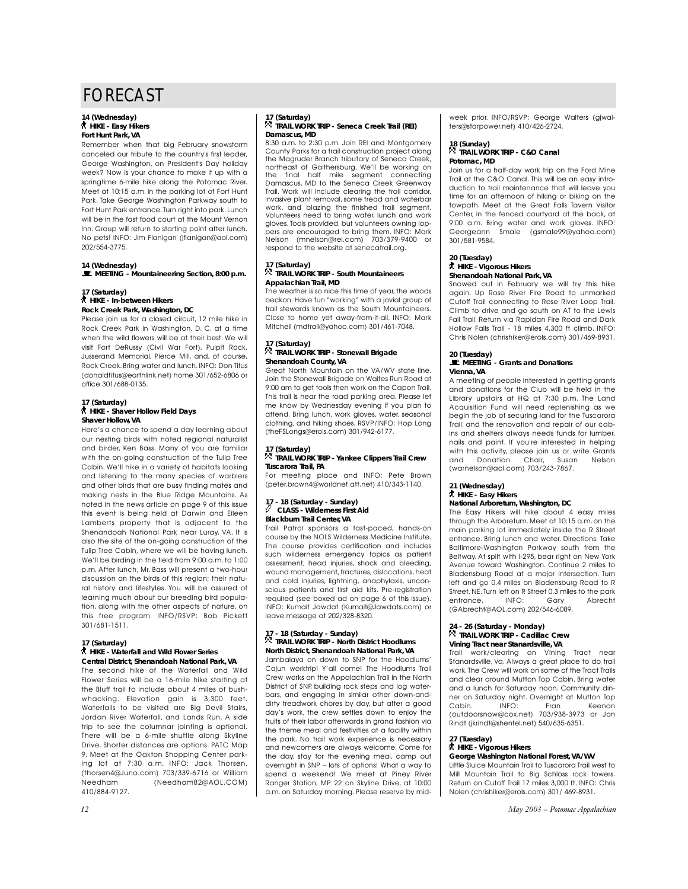#### **14 (Wednesday)** ` **HIKE - Easy Hikers Fort Hunt Park, VA**

Remember when that big February snowstorm canceled our tribute to the country's first leader, George Washington, on President's Day holiday week? Now is your chance to make it up with a springtime 6-mile hike along the Potomac River. Meet at 10:15 a.m. in the parking lot of Fort Hunt Park. Take George Washington Parkway south to Fort Hunt Park entrance.Turn right into park. Lunch will be in the fast food court at the Mount Vernon Inn. Group will return to starting point after lunch. No pets! INFO: Jim Flanigan (jflanigan@aol.com) 202/554-3775.

# **14 (Wednesday)**  \**MEETING - Mountaineering Section, 8:00 p.m.**

## **17 (Saturday)** ` **HIKE - In-between Hikers Rock Creek Park, Washington, DC**

Please join us for a closed circuit, 12 mile hike in Rock Creek Park in Washington, D. C. at a time when the wild flowers will be at their best. We will visit Fort DeRussy (Civil War Fort), Pulpit Rock, Jusserand Memorial, Pierce Mill, and, of course, Rock Creek.Bring water and lunch.INFO: Don Titus (donaldtitus@earthlink.net) home 301/652-6806 or office 301/688-0135.

#### **17 (Saturday)** ` **HIKE - Shaver Hollow Field Days Shaver Hollow, VA**

Here's a chance to spend a day learning about our nesting birds with noted regional naturalist

## **17 (Saturday)**

#### ` **HIKE - Waterfall and Wild Flower Series Central District, Shenandoah National Park, VA**

The second hike of the Waterfall and Wild Flower Series will be a 16-mile hike starting at the Bluff trail to include about 4 miles of bushwhacking. Elevation gain is 3,300 feet. Waterfalls to be visited are Big Devil Stairs, Jordan River Waterfall, and Lands Run. A side trip to see the columnar jointing is optional. There will be a 6-mile shuttle along Skyline Drive. Shorter distances are options. PATC Map 9. Meet at the Oakton Shopping Center parking lot at 7:30 a.m. INFO: Jack Thorsen, (thorsen4@Juno.com) 703/339-6716 or William Needham (Needham82@AOL.COM) 410/884-9127.

and birder, Ken Bass. Many of you are familiar with the on-going construction of the Tulip Tree Cabin. We'll hike in a variety of habitats looking and listening to the many species of warblers and other birds that are busy finding mates and making nests in the Blue Ridge Mountains. As noted in the news article on page 9 of this issue this event is being held at Darwin and Eileen Lamberts property that is adjacent to the Shenandoah National Park near Luray, VA. It is also the site of the on-going construction of the Tulip Tree Cabin, where we will be having lunch. We'll be birding in the field from 9:00 a.m. to 1:00 p.m. After lunch, Mr. Bass will present a two-hour discussion on the birds of this region; their natural history and lifestyles. You will be assured of learning much about our breeding bird population, along with the other aspects of nature, on this free program. INFO/RSVP: Bob Pickett 301/681-1511.

#### **17 (Saturday)** . **TRAIL WORK TRIP - Seneca Creek Trail (REI) Damascus, MD**

8:30 a.m. to 2:30 p.m. Join REI and Montgomery County Parks for a trail construction project along the Magruder Branch tributary of Seneca Creek, northeast of Gaithersburg. We'll be working on the final half mile segment connecting Damascus, MD to the Seneca Creek Greenway Trail. Work will include clearing the trail corridor, invasive plant removal, some tread and waterbar work, and blazing the finished trail segment. Volunteers need to bring water, lunch and work gloves. Tools provided, but volunteers owning loppers are encouraged to bring them. INFO: Mark Nelson (mnelson@rei.com) 703/379-9400 or respond to the website at senecatrail.org.

## **17 (Saturday)** . **TRAIL WORK TRIP - South Mountaineers Appalachian Trail, MD**

The weather is so nice this time of year, the woods beckon. Have fun "working" with a jovial group of trail stewards known as the South Mountaineers. Close to home yet away-from-it-all. INFO: Mark Mitchell (mdtrail@yahoo.com) 301/461-7048.

#### **17 (Saturday)** . **TRAIL WORK TRIP - Stonewall Brigade Shenandoah County, VA**

Great North Mountain on the VA/WV state line. Join the Stonewall Brigade on Waites Run Road at 9:00 am to get tools then work on the Capon Trail. This trail is near the road parking area. Please let me know by Wednesday evening if you plan to attend. Bring lunch, work gloves, water, seasonal clothing, and hiking shoes. RSVP/INFO: Hop Long (theFSLongs@erols.com) 301/942-6177.

#### **17 (Saturday)** . **TRAIL WORK TRIP - Yankee Clippers Trail Crew Tuscarora Trail, PA**

For meeting place and INFO: Pete Brown (peter.brown4@worldnet.att.net) 410/343-1140.

## **17 - 18 (Saturday - Sunday)** <sup>a</sup> **CLASS - Wilderness First Aid Blackburn Trail Center, VA**

Trail Patrol sponsors a fast-paced, hands-on course by the NOLS Wilderness Medicine Institute. The course provides certification and includes such wilderness emergency topics as patient assessment, head injuries, shock and bleeding, wound management, fractures, dislocations, heat and cold injuries, lightning, anaphylaxis, unconscious patients and first aid kits. Pre-registration required (see boxed ad on page 6 of this issue). INFO: Kumait Jawdat (Kumait@Jawdats.com) or leave message at 202/328-8320.

#### **17 - 18 (Saturday - Sunday)** . **TRAIL WORK TRIP - North District Hoodlums North District, Shenandoah National Park, VA**

Jambalaya on down to SNP for the Hoodlums' Cajun worktrip! Y'all come! The Hoodlums Trail Crew works on the Appalachian Trail in the North District of SNP, building rock steps and log waterbars, and engaging in similar other down-anddirty treadwork chores by day, but after a good day's work, the crew settles down to enjoy the fruits of their labor afterwards in grand fashion via the theme meal and festivities at a facility within the park. No trail work experience is necessary and newcomers are always welcome. Come for the day, stay for the evening meal, camp out overnight in SNP – lots of options! What a way to spend a weekend! We meet at Piney River Ranger Station, MP 22 on Skyline Drive, at 10:00 a.m. on Saturday morning. Please reserve by mid-

week prior. INFO/RSVP: George Walters (gjwalters@starpower.net) 410/426-2724.

## **18 (Sunday)**  . **TRAIL WORK TRIP - C&O Canal Potomac, MD**

Join us for a half-day work trip on the Ford Mine Trail at the C&O Canal. This will be an easy introduction to trail maintenance that will leave you time for an afternoon of hiking or biking on the towpath. Meet at the Great Falls Tavern Visitor Center, in the fenced courtyard at the back, at 9:00 a.m. Bring water and work gloves. INFO: Smale (gsmale99@yahoo.com) 301/581-9584.

#### **20 (Tuesday)**  ` **HIKE - Vigorous Hikers Shenandoah National Park, VA**

Snowed out in February we will try this hike again. Up Rose River Fire Road to unmarked Cutoff Trail connecting to Rose River Loop Trail. Climb to drive and go south on AT to the Lewis Fall Trail. Return via Rapidan Fire Road and Dark Hollow Falls Trail - 18 miles 4,300 ft climb. INFO: Chris Nolen (chrishiker@erols.com) 301/469-8931.

### **20 (Tuesday)**

#### \**MEETING - Grants and Donations Vienna, VA**

A meeting of people interested in aettina arants and donations for the Club will be held in the Library upstairs at HQ at 7:30 p.m. The Land Acquisition Fund will need replenishing as we begin the job of securing land for the Tuscarora Trail, and the renovation and repair of our cabins and shelters always needs funds for lumber, nails and paint. If you're interested in helping with this activity, please join us or write Grants and Donation Chair, Susan Nelson (warnelson@aol.com) 703/243-7867.

#### **21 (Wednesday)** ` **HIKE - Easy Hikers National Arboretum, Washington, DC**

The Easy Hikers will hike about 4 easy miles through the Arboretum. Meet at 10:15 a.m. on the main parking lot immediately inside the R Street entrance. Bring lunch and water. Directions: Take Baltimore-Washington Parkway south from the Beltway. At split with I-295, bear right on New York Avenue toward Washington. Continue 2 miles to Bladensburg Road at a major intersection. Turn left and go 0.4 miles on Bladensburg Road to R Street, NE.Turn left on R Street 0.3 miles to the park entrance. INFO: Gary Abrecht (GAbrecht@AOL.com) 202/546-6089.

#### **24 - 26 (Saturday - Monday)** <sub>24</sub> - 26 (saturday - Monday)<br>风 TRAIL WORK TRIP - Cadillac Crew **Vining Tract near Stanardsville, VA**

Trail work/clearing on Vining Tract near Stanardsville, Va. Always a great place to do trail work.The Crew will work on some of the Tract Trails and clear around Mutton Top Cabin. Bring water and a lunch for Saturday noon. Community dinner on Saturday night. Overnight at Mutton Top Keenan (outdoorsnow@cox.net) 703/938-3973 or Jon Rindt (jkrindt@shentel.net) 540/635-6351.

#### **27 (Tuesday)**  ` **HIKE - Vigorous Hikers**

## **George Washington National Forest, VA/WV**

Little Sluice Mountain Trail to Tuscarora Trail west to Mill Mountain Trail to Big Schloss rock towers. Return on Cutoff Trail 17 miles 3,000 ft. INFO: Chris Nolen (chrishiker@erols.com) 301/ 469-8931.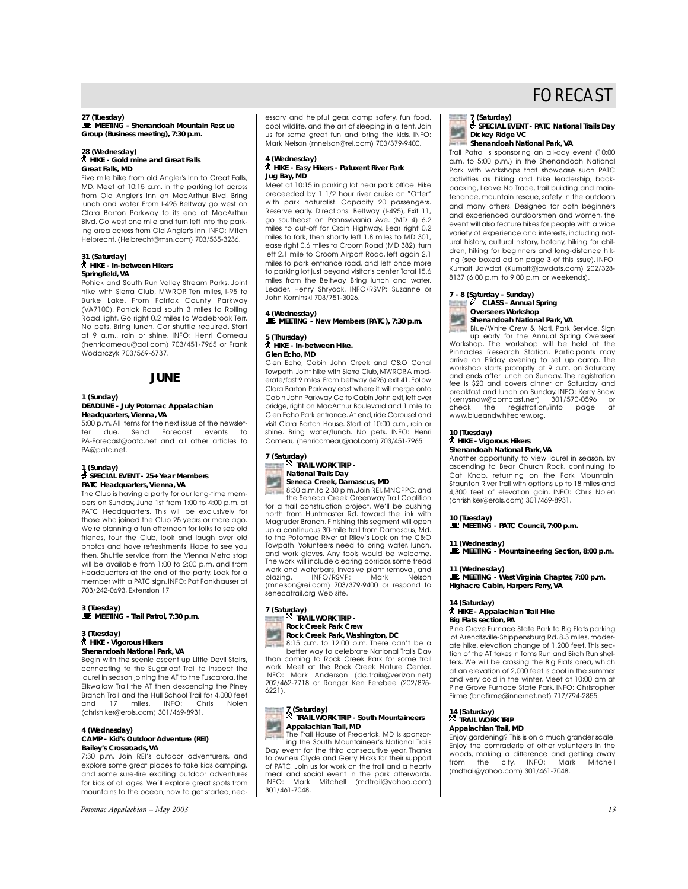#### **27 (Tuesday)**

\**MEETING - Shenandoah Mountain Rescue Group (Business meeting), 7:30 p.m.**

#### **28 (Wednesday)**  ` **HIKE - Gold mine and Great Falls Great Falls, MD**

Five mile hike from old Angler's Inn to Great Falls, MD. Meet at 10:15 a.m. in the parking lot across from Old Angler's Inn on MacArthur Blvd. Bring lunch and water. From I-495 Beltway go west on Clara Barton Parkway to its end at MacArthur Blvd. Go west one mile and turn left into the parking area across from Old Angler's Inn. INFO: Mitch Helbrecht. (Helbrecht@msn.com) 703/535-3236.

#### **31 (Saturday)** ` **HIKE - In-between Hikers Springfield, VA**

Pohick and South Run Valley Stream Parks. Joint hike with Sierra Club, MWROP. Ten miles, I-95 to Burke Lake. From Fairfax County Parkway (VA7100), Pohick Road south 3 miles to Rolling Road light. Go right 0.2 miles to Wadebrook Terr. No pets. Bring lunch. Car shuttle required. Start at 9 a.m., rain or shine. INFO: Henri Comeau (henricomeau@aol.com) 703/451-7965 or Frank Wodarczyk 703/569-6737.

## **JUNE**

#### **1 (Sunday)**

#### **DEADLINE - July** *Potomac Appalachian* **Headquarters, Vienna, VA**

5:00 p.m.All items for the next issue of the newsletdue. Send Forecast events to PA-Forecast@patc.net and all other articles to PA@patc.net.

## **1 (Sunday)**

#### s**SPECIAL EVENT - 25+ Year Members PATC Headquarters, Vienna, VA**

The Club is having a party for our long-time members on Sunday, June 1st from 1:00 to 4:00 p.m. at PATC Headquarters. This will be exclusively for those who joined the Club 25 years or more ago. We're planning a fun afternoon for folks to see old friends, tour the Club, look and laugh over old photos and have refreshments. Hope to see you then. Shuttle service from the Vienna Metro stop will be available from 1:00 to 2:00 p.m. and from Headquarters at the end of the party. Look for a member with a PATC sign.INFO: Pat Fankhauser at 703/242-0693, Extension 17

## **3 (Tuesday)** \**MEETING - Trail Patrol, 7:30 p.m.**

## **3 (Tuesday)**  ` **HIKE - Vigorous Hikers Shenandoah National Park, VA**

Begin with the scenic ascent up Little Devil Stairs, connecting to the Sugarloaf Trail to inspect the laurel in season joining the AT to the Tuscarora, the Elkwallow Trail the AT then descending the Piney Branch Trail and the Hull School Trail for 4,000 feet and 17 miles. INFO: Chris Nolen (chrishiker@erols.com) 301/469-8931.

#### **4 (Wednesday) CAMP - Kid's Outdoor Adventure (REI) Bailey's Crossroads, VA**

7:30 p.m. Join REI's outdoor adventurers, and explore some great places to take kids camping, and some sure-fire exciting outdoor adventures for kids of all ages. We'll explore great spots from mountains to the ocean, how to get started, nec-

*Potomac Appalachian – May 2003 13*

essary and helpful gear, camp safety, fun food, cool wildlife, and the art of sleeping in a tent. Join us for some great fun and bring the kids. INFO: Mark Nelson (mnelson@rei.com) 703/379-9400.

#### **4 (Wednesday)** ` **HIKE - Easy Hikers - Patuxent River Park Jug Bay, MD**

Meet at 10:15 in parking lot near park office. Hike preceeded by 1 1/2 hour river cruise on "Otter" with park naturalist. Capacity 20 passengers. Reserve early. Directions: Beltway (I-495), Exit 11, go southeast on Pennsylvania Ave. (MD 4) 6.2 miles to cut-off for Crain Highway. Bear right 0.2 miles to fork, then shortly left 1.8 miles to MD 301, ease right 0.6 miles to Croom Road (MD 382), turn left 2.1 mile to Croom Airport Road, left again 2.1 miles to park entrance road, and left once more to parking lot just beyond visitor's center.Total 15.6 miles from the Beltway. Bring lunch and water. Leader, Henry Shryock. INFO/RSVP: Suzanne or John Kominski 703/751-3026.

#### **4 (Wednesday)**

\**MEETING - New Members (PATC), 7:30 p.m.**

## **5 (Thursday)**

` **HIKE - In-between Hike. Glen Echo, MD**

Glen Echo, Cabin John Creek and C&O Canal Towpath. Joint hike with Sierra Club, MWROP. A moderate/fast 9 miles. From beltway (I495) exit 41. Follow Clara Barton Parkway east where it will merge onto Cabin John Parkway.Go to Cabin John exit,left over bridge, right on MacArthur Boulevard and 1 mile to Glen Echo Park entrance.At end,ride Carousel and visit Clara Barton House. Start at 10:00 a.m., rain or shine. Bring water/lunch. No pets. INFO: Henri Comeau (henricomeau@aol.com) 703/451-7965.

# **7 (Saturday)** . **TRAIL WORK TRIP -**



#### **National Trails Day Seneca Creek, Damascus, MD**

8:30 a.m.to 2:30 p.m.Join REI,MNCPPC,and the Seneca Creek Greenway Trail Coalition for a trail construction project. We'll be pushing north from Huntmaster Rd. toward the link with Magruder Branch. Finishing this segment will open up a continuous 30-mile trail from Damascus, Md. to the Potomac River at Riley's Lock on the C&O Towpath. Volunteers need to bring water, lunch, and work gloves. Any tools would be welcome. The work will include clearing corridor, some tread work and waterbars, invasive plant removal, and blazing. INFO/RSVP: Mark Nelson (mnelson@rei.com) 703/379-9400 or respond to senecatrail.org Web site.

## **7 (Saturday)** . **TRAIL WORK TRIP - Rock Creek Park Crew**



better way to celebrate National Trails Day than coming to Rock Creek Park for some trail work. Meet at the Rock Creek Nature Center. INFO: Mark Anderson (dc.trails@verizon.net) 202/462-7718 or Ranger Ken Ferebee (202/895- 6221).

## **7 (Saturday)** . **TRAIL WORK TRIP - South Mountaineers Appalachian Trail, MD TANK**



Day event for the third consecutive year. Thanks to owners Clyde and Gerry Hicks for their support of PATC. Join us for work on the trail and a hearty meal and social event in the park afterwards. INFO: Mark Mitchell (mdtrail@yahoo.com) INFO: Mark<br>301/461-7048.

# FORECAST

#### **7 (Saturday)**

s**SPECIAL EVENT - PATC National Trails Day Dickey Ridge VC** 

**Shenandoah National Park, VA**

Trail Patrol is sponsoring an all-day event (10:00 a.m. to 5:00 p.m.) in the Shenandoah National Park with workshops that showcase such PATC activities as hiking and hike leadership, backpacking, Leave No Trace, trail building and maintenance, mountain rescue, safety in the outdoors and many others. Designed for both beginners and experienced outdoorsmen and women, the event will also feature hikes for people with a wide variety of experience and interests, including natural history, cultural history, botany, hiking for children, hiking for beginners and long-distance hiking (see boxed ad on page 3 of this issue). INFO: Kumait Jawdat (Kumait@jawdats.com) 202/328- 8137 (6:00 p.m. to 9:00 p.m. or weekends).

## **7 - 8 (Saturday - Sunday)** <sup>a</sup> **CLASS - Annual Spring Overseers Workshop Shenandoah National Park, VA**

Blue/White Crew & Natl. Park Service. Sign up early for the Annual Spring Overseer Workshop. The workshop will be held at the Pinnacles Research Station. Participants may arrive on Friday evening to set up camp. The workshop starts promptly at 9 a.m. on Saturday and ends after lunch on Sunday. The registration fee is \$20 and covers dinner on Saturday and breakfast and lunch on Sunday. INFO: Kerry Snow (kerrysnow@comcast.net) 301/570-0596 or check the registration/info page at www.blueandwhitecrew.org.

#### **10 (Tuesday)**  ` **HIKE - Vigorous Hikers**

**Shenandoah National Park, VA** 

Another opportunity to view laurel in season, by ascending to Bear Church Rock, continuing to Cat Knob, returning on the Fork Mountain, Staunton River Trail with options up to 18 miles and 4,300 feet of elevation gain. INFO: Chris Nolen (chrishiker@erols.com) 301/469-8931.

## **10 (Tuesday)**

\**MEETING - PATC Council, 7:00 p.m.**

#### **11 (Wednesday)**

\**MEETING - Mountaineering Section, 8:00 p.m.**

#### **11 (Wednesday)**

\**MEETING - West Virginia Chapter, 7:00 p.m. Highacre Cabin, Harpers Ferry, VA**

## **14 (Saturday)**

#### ` **HIKE - Appalachian Trail Hike Big Flats section, PA**

Pine Grove Furnace State Park to Big Flats parking lot Arendtsville-Shippensburg Rd. 8.3 miles, moderate hike, elevation change of 1,200 feet. This section of the AT takes in Toms Run and Birch Run shelters. We will be crossing the Big Flats area, which at an elevation of 2,000 feet is cool in the summer and very cold in the winter. Meet at 10:00 am at Pine Grove Furnace State Park. INFO: Christopher Firme (bncfirme@innernet.net) 717/794-2855.

#### **14 (Saturday)** <sub>14</sub> (Saturday)<br>风 TRAIL WORK TRIP

## **Appalachian Trail, MD**

Enjoy gardening? This is on a much grander scale. Enjoy the comraderie of other volunteers in the woods, making a difference and getting away from the city. INFO: Mark Mitchell (mdtrail@yahoo.com) 301/461-7048.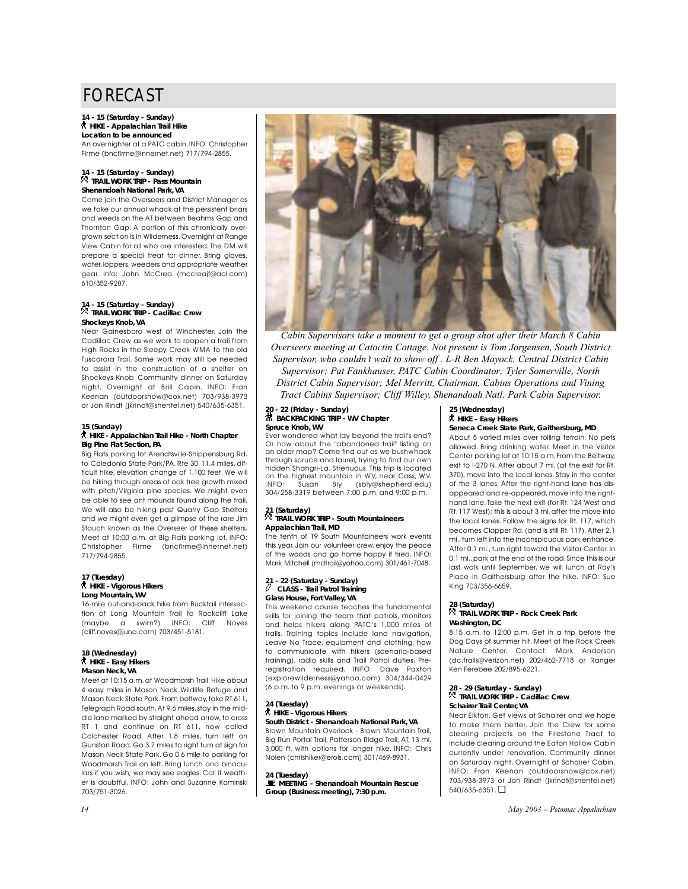#### **14 - 15 (Saturday - Sunday)** ` **HIKE - Appalachian Trail Hike Location to be announced**

An overnighter at a PATC cabin. INFO: Christopher Firme (bncfirme@innernet.net) 717/794-2855.

#### **14 - 15 (Saturday - Sunday)** . **TRAIL WORK TRIP - Pass Mountain Shenandoah National Park, VA**

Come join the Overseers and District Manager as we take our annual whack at the persistent briars and weeds on the AT between Beahms Gap and Thornton Gap. A portion of this chronically overgrown section is in Wilderness.Overnight at Range View Cabin for all who are interested. The DM will prepare a special treat for dinner. Bring gloves, water,loppers,weeders and appropriate weather gear. Info: John McCrea (mccreajf@aol.com) 610/352-9287.

## **14 - 15 (Saturday - Sunday)** . **TRAIL WORK TRIP - Cadillac Crew Shockeys Knob, VA**

Near Gainesboro west of Winchester. Join the Cadillac Crew as we work to reopen a trail from High Rocks in the Sleepy Creek WMA to the old Tuscarora Trail. Some work may still be needed to assist in the construction of a shelter on Shockeys Knob. Community dinner on Saturday night. Overnight at Brill Cabin. INFO: Fran Keenan (outdoorsnow@cox.net) 703/938-3973 or Jon Rindt (jkrindt@shentel.net) 540/635-6351.

#### **15 (Sunday)**

#### ` **HIKE - Appalachian Trail Hike - North Chapter Big Pine Flat Section, PA**

Big Flats parking lot Arendtsville-Shippensburg Rd. to Caledonia State Park/PA. Rte 30. 11.4 miles, difficult hike, elevation change of 1,100 feet. We will be hiking through areas of oak tree growth mixed with pitch/Virginia pine species. We might even be able to see ant mounds found along the trail. We will also be hiking past Quarry Gap Shelters and we might even get a glimpse of the rare Jim Stauch known as the Overseer of these shelters. Meet at 10:00 a.m. at Big Flats parking lot. INFO: Christopher Firme (bncfirme@innernet.net) 717/794-2855.

## **17 (Tuesday)**  ` **HIKE - Vigorous Hikers Long Mountain, WV**

16-mile out-and-back hike from Bucktail intersection of Long Mountain Trail to Rockcliff Lake (maybe a swim?) INFO: Cliff Noyes (cliff.noyes@juno.com) 703/451-5181.

#### **18 (Wednesday)** ` **HIKE - Easy Hikers Mason Neck, VA**

Meet at 10:15 a.m. at Woodmarsh Trail. Hike about 4 easy miles in Mason Neck Wildlife Refuge and Mason Neck State Park. From beltway, take RT 611, Telegraph Road south.At 9.6 miles,stay in the middle lane marked by straight ahead arrow, to cross RT 1 and continue on RT 611, now called Colchester Road. After 1.8 miles, turn left on Gunston Road. Go 3.7 miles to right turn at sign for Mason Neck State Park. Go 0.6 mile to parking for Woodmarsh Trail on left. Bring lunch and binoculars if you wish; we may see eagles. Call if weather is doubtful. INFO: John and Suzanne Kominski 703/751-3026.



*Cabin Supervisors take a moment to get a group shot after their March 8 Cabin Overseers meeting at Catoctin Cottage. Not present is Tom Jorgensen, South District Supervisor, who couldn't wait to show off . L-R Ben Mayock, Central District Cabin Supervisor; Pat Fankhauser, PATC Cabin Coordinator; Tyler Somerville, North District Cabin Supervisor; Mel Merritt, Chairman, Cabins Operations and Vining Tract Cabins Supervisor; Cliff Willey, Shenandoah Natl. Park Cabin Supervisor.*

## **20 - 22 (Friday - Sunday)** ~ **BACKPACKING TRIP - WV Chapter Spruce Knob, WV**

Ever wondered what lay beyond the trail's end? Or how about the "abandoned trail" listing on an older map? Come find out as we bushwhack through spruce and laurel, trying to find our own hidden Shangri-La. Strenuous. This trip is located on the highest mountain in WV, near Cass, WV. INFO: Susan Bly (sbly@shepherd.edu) 304/258-3319 between 7:00 p.m. and 9:00 p.m.

#### **21 (Saturday)** . **TRAIL WORK TRIP - South Mountaineers Appalachian Trail, MD**

The tenth of 19 South Mountaineers work events this year. Join our volunteer crew, enjoy the peace of the woods and go home happy if tired. INFO: Mark Mitchell (mdtrail@yahoo.com) 301/461-7048.

## **22 (Saturday - Sunday)**<br>**CLASS - Trail Patrol Training Glass House, Fort Valley, VA**

This weekend course teaches the fundamental skills for joining the team that patrols, monitors and helps hikers along PATC's 1,000 miles of trails. Training topics include land navigation, Leave No Trace, equipment and clothing, how to communicate with hikers (scenario-based training), radio skills and Trail Patrol duties. Preregistration required. INFO: Dave Paxton (explorewilderness@yahoo.com) 304/344-0429 (6 p.m. to 9 p.m. evenings or weekends).

#### **24 (Tuesday)**  ` **HIKE - Vigorous Hikers**

#### **South District - Shenandoah National Park, VA**  Brown Mountain Overlook - Brown Mountain Trail,

Big Run Portal Trail, Patterson Ridge Trail, AT, 13 mi. 3,000 ft. with options for longer hike. INFO: Chris Nolen (chrishiker@erols.com) 301/469-8931.

### **24 (Tuesday)**

\**MEETING - Shenandoah Mountain Rescue Group (Business meeting), 7:30 p.m.**

## **25 (Wednesday)**

` **HIKE – Easy Hikers**

### **Seneca Creek State Park, Gaithersburg, MD**

About 5 varied miles over rolling terrain. No pets allowed. Bring drinking water. Meet in the Visitor Center parking lot at 10:15 a.m. From the Beltway, exit to I-270 N. After about 7 mi. (at the exit for Rt. 370), move into the local lanes. Stay in the center of the 3 lanes. After the right-hand lane has disappeared and re-appeared, move into the righthand lane. Take the next exit (for Rt. 124 West and Rt. 117 West); this is about 3 mi. after the move into the local lanes. Follow the signs for Rt. 117, which becomes Clopper Rd. (and is still Rt. 117). After 2.1 mi.,turn left into the inconspicuous park entrance. After 0.1 mi., turn right toward the Visitor Center. In 0.1 mi.,park at the end of the road.Since this is our last walk until September, we will lunch at Roy's Place in Gaithersburg after the hike. INFO: Sue King 703/356-6659.

#### **28 (Saturday)** . **TRAIL WORK TRIP - Rock Creek Park Washington, DC**

8:15 a.m. to 12:00 p.m. Get in a trip before the Dog Days of summer hit. Meet at the Rock Creek Nature Center. Contact: Mark Anderson (dc.trails@verizon.net) 202/462-7718 or Ranger Ken Ferebee 202/895-6221.

#### **28 - 29 (Saturday - Sunday)** . **TRAIL WORK TRIP - Cadillac Crew Schairer Trail Center, VA**

Near Elkton. Get views at Schairer and we hope to make them better. Join the Crew for some clearing projects on the Firestone Tract to include clearing around the Eaton Hollow Cabin currently under renovation. Community dinner on Saturday night. Overnight at Schairer Cabin. INFO: Fran Keenan (outdoorsnow@cox.net) 703/938-3973 or Jon Rindt (jkrindt@shentel.net) 540/635-6351. ❏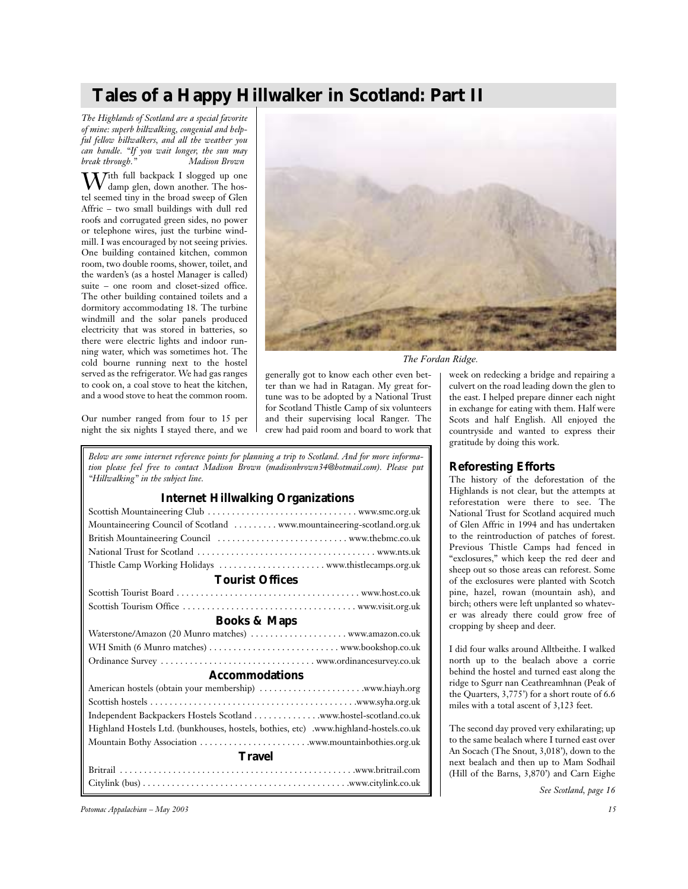# **Tales of a Happy Hillwalker in Scotland: Part II**

*The Highlands of Scotland are a special favorite of mine: superb hillwalking, congenial and helpful fellow hillwalkers, and all the weather you can handle. "If you wait longer, the sun may break through.*"

With full backpack I slogged up one damp glen, down another. The hostel seemed tiny in the broad sweep of Glen Affric – two small buildings with dull red roofs and corrugated green sides, no power or telephone wires, just the turbine windmill. I was encouraged by not seeing privies. One building contained kitchen, common room, two double rooms, shower, toilet, and the warden's (as a hostel Manager is called) suite – one room and closet-sized office. The other building contained toilets and a dormitory accommodating 18. The turbine windmill and the solar panels produced electricity that was stored in batteries, so there were electric lights and indoor running water, which was sometimes hot. The cold bourne running next to the hostel served as the refrigerator. We had gas ranges to cook on, a coal stove to heat the kitchen, and a wood stove to heat the common room.

Our number ranged from four to 15 per night the six nights I stayed there, and we



*The Fordan Ridge.*

generally got to know each other even better than we had in Ratagan. My great fortune was to be adopted by a National Trust for Scotland Thistle Camp of six volunteers and their supervising local Ranger. The crew had paid room and board to work that

*Below are some internet reference points for planning a trip to Scotland. And for more information please feel free to contact Madison Brown (madisonbrown34@hotmail.com). Please put "Hillwalking" in the subject line.*

## **Internet Hillwalking Organizations**

|                                                                                       | reforestation were there to see. The                                                        |
|---------------------------------------------------------------------------------------|---------------------------------------------------------------------------------------------|
|                                                                                       | National Trust for Scotland acquired much                                                   |
| Mountaineering Council of Scotland  www.mountaineering-scotland.org.uk                | of Glen Affric in 1994 and has undertaken                                                   |
|                                                                                       | to the reintroduction of patches of forest.                                                 |
|                                                                                       | Previous Thistle Camps had fenced in                                                        |
|                                                                                       | "exclosures," which keep the red deer and<br>sheep out so those areas can reforest. Some    |
| <b>Tourist Offices</b>                                                                | of the exclosures were planted with Scotch                                                  |
|                                                                                       | pine, hazel, rowan (mountain ash), and                                                      |
|                                                                                       | birch; others were left unplanted so whatev-                                                |
| <b>Books &amp; Maps</b>                                                               | er was already there could grow free of                                                     |
|                                                                                       | cropping by sheep and deer.                                                                 |
|                                                                                       | I did four walks around Alltbeithe. I walked                                                |
|                                                                                       | north up to the bealach above a corrie                                                      |
| <b>Accommodations</b>                                                                 | behind the hostel and turned east along the                                                 |
|                                                                                       | ridge to Sgurr nan Ceathreamhnan (Peak of<br>the Quarters, 3,775') for a short route of 6.6 |
|                                                                                       | miles with a total ascent of 3,123 feet.                                                    |
|                                                                                       |                                                                                             |
| Highland Hostels Ltd. (bunkhouses, hostels, bothies, etc) .www.highland-hostels.co.uk | The second day proved very exhilarating; up                                                 |
|                                                                                       | to the same bealach where I turned east over                                                |
| <b>Travel</b>                                                                         | An Socach (The Snout, 3,018'), down to the                                                  |
|                                                                                       | next bealach and then up to Mam Sodhail<br>(Hill of the Barns, 3,870') and Carn Eighe       |
|                                                                                       | See Scotland, page 16                                                                       |
|                                                                                       |                                                                                             |

*Potomac Appalachian – May 2003 15*

week on redecking a bridge and repairing a culvert on the road leading down the glen to the east. I helped prepare dinner each night in exchange for eating with them. Half were Scots and half English. All enjoyed the countryside and wanted to express their gratitude by doing this work.

## **Reforesting Efforts**

The history of the deforestation of the Highlands is not clear, but the attempts at reforestation were there to see. The National Trust for Scotland acquired much of Glen Affric in 1994 and has undertaken to the reintroduction of patches of forest. Previous Thistle Camps had fenced in "exclosures," which keep the red deer and sheep out so those areas can reforest. Some of the exclosures were planted with Scotch pine, hazel, rowan (mountain ash), and birch; others were left unplanted so whatever was already there could grow free of cropping by sheep and deer.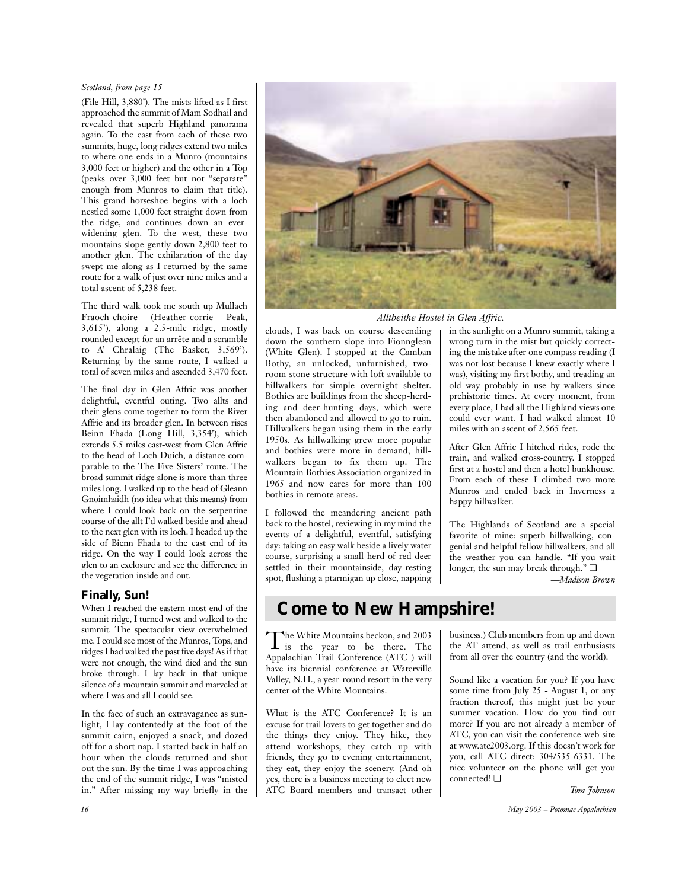## *Scotland, from page 15*

(File Hill, 3,880'). The mists lifted as I first approached the summit of Mam Sodhail and revealed that superb Highland panorama again. To the east from each of these two summits, huge, long ridges extend two miles to where one ends in a Munro (mountains 3,000 feet or higher) and the other in a Top (peaks over 3,000 feet but not "separate" enough from Munros to claim that title). This grand horseshoe begins with a loch nestled some 1,000 feet straight down from the ridge, and continues down an everwidening glen. To the west, these two mountains slope gently down 2,800 feet to another glen. The exhilaration of the day swept me along as I returned by the same route for a walk of just over nine miles and a total ascent of 5,238 feet.

The third walk took me south up Mullach Fraoch-choire (Heather-corrie Peak, 3,615'), along a 2.5-mile ridge, mostly rounded except for an arrête and a scramble to A' Chralaig (The Basket, 3,569'). Returning by the same route, I walked a total of seven miles and ascended 3,470 feet.

The final day in Glen Affric was another delightful, eventful outing. Two allts and their glens come together to form the River Affric and its broader glen. In between rises Beinn Fhada (Long Hill, 3,354'), which extends 5.5 miles east-west from Glen Affric to the head of Loch Duich, a distance comparable to the The Five Sisters' route. The broad summit ridge alone is more than three miles long. I walked up to the head of Gleann Gnoimhaidh (no idea what this means) from where I could look back on the serpentine course of the allt I'd walked beside and ahead to the next glen with its loch. I headed up the side of Bienn Fhada to the east end of its ridge. On the way I could look across the glen to an exclosure and see the difference in the vegetation inside and out.

## **Finally, Sun!**

When I reached the eastern-most end of the summit ridge, I turned west and walked to the summit. The spectacular view overwhelmed me. I could see most of the Munros, Tops, and ridges I had walked the past five days! As if that were not enough, the wind died and the sun broke through. I lay back in that unique silence of a mountain summit and marveled at where I was and all I could see.

In the face of such an extravagance as sunlight, I lay contentedly at the foot of the summit cairn, enjoyed a snack, and dozed off for a short nap. I started back in half an hour when the clouds returned and shut out the sun. By the time I was approaching the end of the summit ridge, I was "misted in." After missing my way briefly in the



*Alltbeithe Hostel in Glen Affric.*

clouds, I was back on course descending down the southern slope into Fionnglean (White Glen). I stopped at the Camban Bothy, an unlocked, unfurnished, tworoom stone structure with loft available to hillwalkers for simple overnight shelter. Bothies are buildings from the sheep-herding and deer-hunting days, which were then abandoned and allowed to go to ruin. Hillwalkers began using them in the early 1950s. As hillwalking grew more popular and bothies were more in demand, hillwalkers began to fix them up. The Mountain Bothies Association organized in 1965 and now cares for more than 100 bothies in remote areas.

I followed the meandering ancient path back to the hostel, reviewing in my mind the events of a delightful, eventful, satisfying day: taking an easy walk beside a lively water course, surprising a small herd of red deer settled in their mountainside, day-resting spot, flushing a ptarmigan up close, napping in the sunlight on a Munro summit, taking a wrong turn in the mist but quickly correcting the mistake after one compass reading (I was not lost because I knew exactly where I was), visiting my first bothy, and treading an old way probably in use by walkers since prehistoric times. At every moment, from every place, I had all the Highland views one could ever want. I had walked almost 10 miles with an ascent of 2,565 feet.

After Glen Affric I hitched rides, rode the train, and walked cross-country. I stopped first at a hostel and then a hotel bunkhouse. From each of these I climbed two more Munros and ended back in Inverness a happy hillwalker.

The Highlands of Scotland are a special favorite of mine: superb hillwalking, congenial and helpful fellow hillwalkers, and all the weather you can handle. "If you wait longer, the sun may break through." ❏

*—Madison Brown*

# **Come to New Hampshire!**

The White Mountains beckon, and 2003<br>is the year to be there. The Appalachian Trail Conference (ATC ) will have its biennial conference at Waterville Valley, N.H., a year-round resort in the very center of the White Mountains.

What is the ATC Conference? It is an excuse for trail lovers to get together and do the things they enjoy. They hike, they attend workshops, they catch up with friends, they go to evening entertainment, they eat, they enjoy the scenery. (And oh yes, there is a business meeting to elect new ATC Board members and transact other business.) Club members from up and down the AT attend, as well as trail enthusiasts from all over the country (and the world).

Sound like a vacation for you? If you have some time from July 25 - August 1, or any fraction thereof, this might just be your summer vacation. How do you find out more? If you are not already a member of ATC, you can visit the conference web site at www.atc2003.org. If this doesn't work for you, call ATC direct: 304/535-6331. The nice volunteer on the phone will get you connected! ❏

*—Tom Johnson*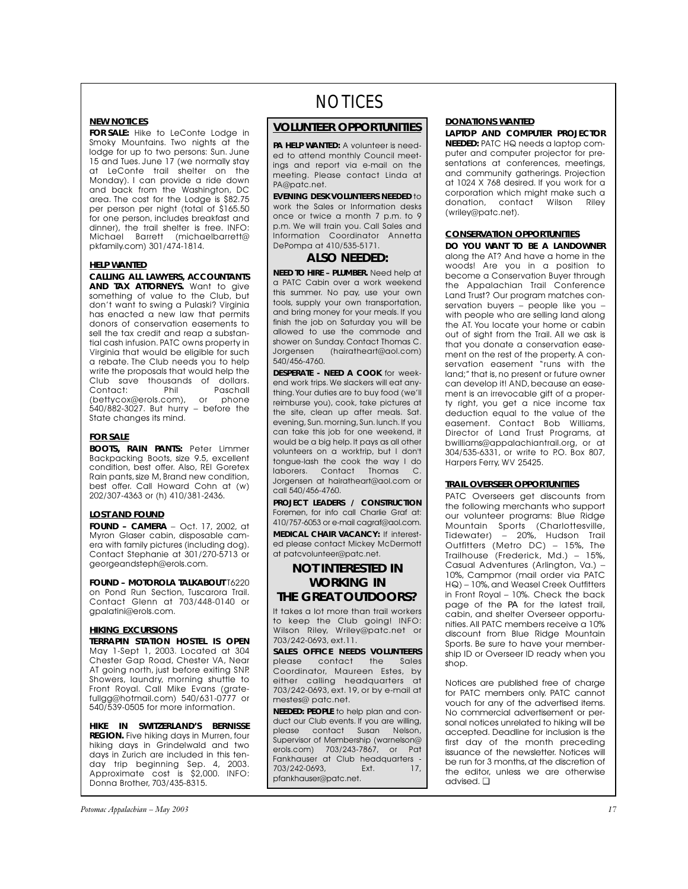## **NEW NOTICES**

**FOR SALE:** Hike to LeConte Lodge in Smoky Mountains. Two nights at the lodge for up to two persons: Sun. June 15 and Tues. June 17 (we normally stay at LeConte trail shelter on the Monday). I can provide a ride down and back from the Washington, DC area. The cost for the Lodge is \$82.75 per person per night (total of \$165.50 for one person, includes breakfast and dinner), the trail shelter is free. INFO: Michael Barrett (michaelbarrett@ pkfamily.com) 301/474-1814.

### **HELP WANTED**

**CALLING ALL LAWYERS, ACCOUNTANTS AND TAX ATTORNEYS.** Want to give something of value to the Club, but don't want to swing a Pulaski? Virginia has enacted a new law that permits donors of conservation easements to sell the tax credit and reap a substantial cash infusion. PATC owns property in Virginia that would be eligible for such a rebate. The Club needs you to help write the proposals that would help the Club save thousands of dollars. Contact: Phil Paschall (bettycox@erols.com), or phone 540/882-3027. But hurry – before the State changes its mind.

### **FOR SALE**

**BOOTS, RAIN PANTS:** Peter Limmer Backpacking Boots, size 9.5, excellent condition, best offer. Also, REI Goretex Rain pants, size M, Brand new condition, best offer. Call Howard Cohn at (w) 202/307-4363 or (h) 410/381-2436.

#### **LOST AND FOUND**

**FOUND – CAMERA** – Oct. 17, 2002, at Myron Glaser cabin, disposable camera with family pictures (including dog). Contact Stephanie at 301/270-5713 or georgeandsteph@erols.com.

**FOUND – MOTOROLA TALKABOUT** T6220 on Pond Run Section, Tuscarora Trail. Contact Glenn at 703/448-0140 or gpalatini@erols.com.

### **HIKING EXCURSIONS**

**TERRAPIN STATION HOSTEL IS OPEN** May 1-Sept 1, 2003. Located at 304 Chester Gap Road, Chester VA, Near AT going north, just before exiting SNP. Showers, laundry, morning shuttle to Front Royal. Call Mike Evans (gratefullgg@hotmail.com) 540/631-0777 or 540/539-0505 for more information.

**HIKE IN SWITZERLAND'S BERNISSE REGION.** Five hiking days in Murren, four hiking days in Grindelwald and two days in Zurich are included in this tenday trip beginning Sep. 4, 2003. Approximate cost is \$2,000. INFO: Donna Brother, 703/435-8315.

*Potomac Appalachian – May 2003 17*

# NOTICES

## **VOLUNTEER OPPORTUNITIES**

*PA* **HELP WANTED:** A volunteer is needed to attend monthly Council meetings and report via e-mail on the meeting. Please contact Linda at PA@patc.net.

**EVENING DESK VOLUNTEERS NEEDED** to work the Sales or Information desks once or twice a month 7 p.m. to 9 p.m. We will train you. Call Sales and Information Coordinator Annetta DePompa at 410/535-5171.

## **ALSO NEEDED:**

**NEED TO HIRE – PLUMBER.** Need help at a PATC Cabin over a work weekend this summer. No pay, use your own tools, supply your own transportation, and bring money for your meals. If you finish the job on Saturday you will be allowed to use the commode and shower on Sunday. Contact Thomas C. Jorgensen (hairatheart@aol.com) 540/456-4760.

**DESPERATE - NEED A COOK** for weekend work trips.We slackers will eat anything.Your duties are to buy food (we'll reimburse you), cook, take pictures at the site, clean up after meals. Sat. evening, Sun. morning, Sun. lunch. If you can take this job for one weekend, it would be a big help. It pays as all other volunteers on a worktrip, but I don't tongue-lash the cook the way I do laborers. Contact Thomas C. Jorgensen at hairatheart@aol.com or call 540/456-4760.

**PROJECT LEADERS / CONSTRUCTION** Foremen, for info call Charlie Graf at: 410/757-6053 or e-mail cagraf@aol.com. **MEDICAL CHAIR VACANCY:** If interested please contact Mickey McDermott at patcvolunteer@patc.net.

## **NOT INTERESTED IN WORKING IN THE GREAT OUTDOORS?**

It takes a lot more than trail workers to keep the Club going! INFO: Wilson Riley, Wriley@patc.net or 703/242-0693, ext.11.

**SALES OFFICE NEEDS VOLUNTEERS** please contact the Sales Coordinator, Maureen Estes, by either calling headquarters at 703/242-0693, ext. 19, or by e-mail at mestes@ patc.net.

**NEEDED: PEOPLE** to help plan and conduct our Club events. If you are willing, please contact Susan Nelson, Supervisor of Membership (warnelson@ erols.com) 703/243-7867, or Pat Fankhauser at Club headquarters - 703/242-0693, Ext. 17, pfankhauser@patc.net.

### **DONATIONS WANTED**

**LAPTOP AND COMPUTER PROJECTOR NEEDED:** PATC HQ needs a laptop computer and computer projector for presentations at conferences, meetings, and community gatherings. Projection at 1024 X 768 desired. If you work for a corporation which might make such a donation, contact Wilson Riley (wriley@patc.net).

## **CONSERVATION OPPORTUNITIES**

**DO YOU WANT TO BE A LANDOWNER** along the AT? And have a home in the woods! Are you in a position to become a Conservation Buyer through the Appalachian Trail Conference Land Trust? Our program matches conservation buyers – people like you – with people who are selling land along the AT. You locate your home or cabin out of sight from the Trail. All we ask is that you donate a conservation easement on the rest of the property. A conservation easement "runs with the land;" that is, no present or future owner can develop it! AND, because an easement is an irrevocable gift of a property right, you get a nice income tax deduction equal to the value of the easement. Contact Bob Williams, Director of Land Trust Programs, at bwilliams@appalachiantrail.org, or at 304/535-6331, or write to P.O. Box 807, Harpers Ferry, WV 25425.

## **TRAIL OVERSEER OPPORTUNITIES**

PATC Overseers get discounts from the following merchants who support our volunteer programs: Blue Ridge Mountain Sports (Charlottesville, Tidewater) – 20%, Hudson Trail Outfitters (Metro DC) – 15%, The Trailhouse (Frederick, Md.) – 15%, Casual Adventures (Arlington, Va.) – 10%, Campmor (mail order via PATC HQ) – 10%, and Weasel Creek Outfitters in Front Royal – 10%. Check the back page of the *PA* for the latest trail, cabin, and shelter Overseer opportunities.All PATC members receive a 10% discount from Blue Ridge Mountain Sports. Be sure to have your membership ID or Overseer ID ready when you shop.

Notices are published free of charge for PATC members only. PATC cannot vouch for any of the advertised items. No commercial advertisement or personal notices unrelated to hiking will be accepted. Deadline for inclusion is the first day of the month preceding issuance of the newsletter. Notices will be run for 3 months, at the discretion of the editor, unless we are otherwise advised. ❏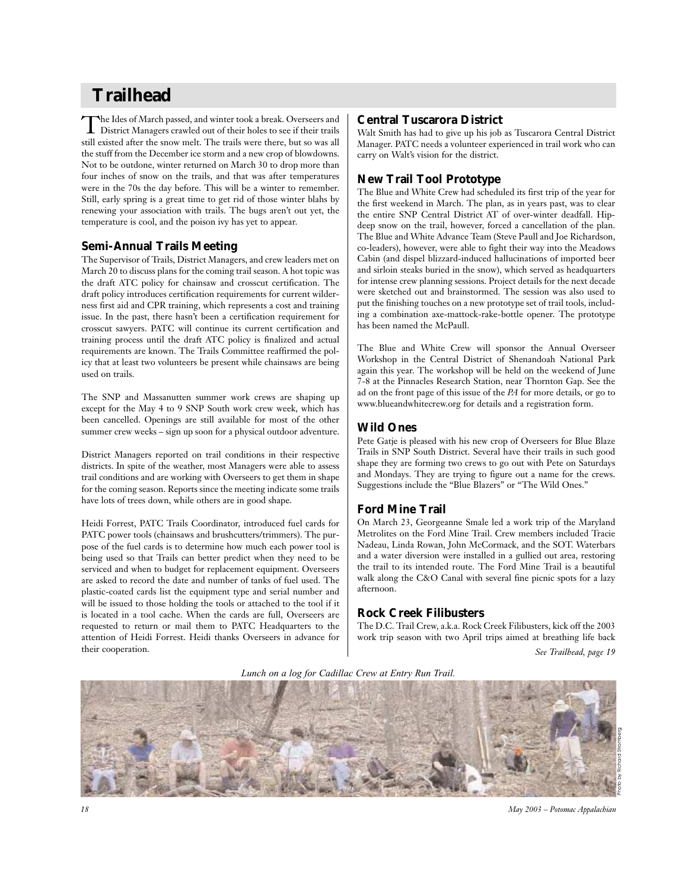# **Trailhead**

The Ides of March passed, and winter took a break. Overseers and<br>District Managers crawled out of their holes to see if their trails still existed after the snow melt. The trails were there, but so was all the stuff from the December ice storm and a new crop of blowdowns. Not to be outdone, winter returned on March 30 to drop more than four inches of snow on the trails, and that was after temperatures were in the 70s the day before. This will be a winter to remember. Still, early spring is a great time to get rid of those winter blahs by renewing your association with trails. The bugs aren't out yet, the temperature is cool, and the poison ivy has yet to appear.

## **Semi-Annual Trails Meeting**

The Supervisor of Trails, District Managers, and crew leaders met on March 20 to discuss plans for the coming trail season. A hot topic was the draft ATC policy for chainsaw and crosscut certification. The draft policy introduces certification requirements for current wilderness first aid and CPR training, which represents a cost and training issue. In the past, there hasn't been a certification requirement for crosscut sawyers. PATC will continue its current certification and training process until the draft ATC policy is finalized and actual requirements are known. The Trails Committee reaffirmed the policy that at least two volunteers be present while chainsaws are being used on trails.

The SNP and Massanutten summer work crews are shaping up except for the May 4 to 9 SNP South work crew week, which has been cancelled. Openings are still available for most of the other summer crew weeks – sign up soon for a physical outdoor adventure.

District Managers reported on trail conditions in their respective districts. In spite of the weather, most Managers were able to assess trail conditions and are working with Overseers to get them in shape for the coming season. Reports since the meeting indicate some trails have lots of trees down, while others are in good shape.

Heidi Forrest, PATC Trails Coordinator, introduced fuel cards for PATC power tools (chainsaws and brushcutters/trimmers). The purpose of the fuel cards is to determine how much each power tool is being used so that Trails can better predict when they need to be serviced and when to budget for replacement equipment. Overseers are asked to record the date and number of tanks of fuel used. The plastic-coated cards list the equipment type and serial number and will be issued to those holding the tools or attached to the tool if it is located in a tool cache. When the cards are full, Overseers are requested to return or mail them to PATC Headquarters to the attention of Heidi Forrest. Heidi thanks Overseers in advance for their cooperation.

## **Central Tuscarora District**

Walt Smith has had to give up his job as Tuscarora Central District Manager. PATC needs a volunteer experienced in trail work who can carry on Walt's vision for the district.

## **New Trail Tool Prototype**

The Blue and White Crew had scheduled its first trip of the year for the first weekend in March. The plan, as in years past, was to clear the entire SNP Central District AT of over-winter deadfall. Hipdeep snow on the trail, however, forced a cancellation of the plan. The Blue and White Advance Team (Steve Paull and Joe Richardson, co-leaders), however, were able to fight their way into the Meadows Cabin (and dispel blizzard-induced hallucinations of imported beer and sirloin steaks buried in the snow), which served as headquarters for intense crew planning sessions. Project details for the next decade were sketched out and brainstormed. The session was also used to put the finishing touches on a new prototype set of trail tools, including a combination axe-mattock-rake-bottle opener. The prototype has been named the McPaull.

The Blue and White Crew will sponsor the Annual Overseer Workshop in the Central District of Shenandoah National Park again this year. The workshop will be held on the weekend of June 7-8 at the Pinnacles Research Station, near Thornton Gap. See the ad on the front page of this issue of the *PA* for more details, or go to www.blueandwhitecrew.org for details and a registration form.

## **Wild Ones**

Pete Gatje is pleased with his new crop of Overseers for Blue Blaze Trails in SNP South District. Several have their trails in such good shape they are forming two crews to go out with Pete on Saturdays and Mondays. They are trying to figure out a name for the crews. Suggestions include the "Blue Blazers" or "The Wild Ones."

## **Ford Mine Trail**

On March 23, Georgeanne Smale led a work trip of the Maryland Metrolites on the Ford Mine Trail. Crew members included Tracie Nadeau, Linda Rowan, John McCormack, and the SOT. Waterbars and a water diversion were installed in a gullied out area, restoring the trail to its intended route. The Ford Mine Trail is a beautiful walk along the C&O Canal with several fine picnic spots for a lazy afternoon.

## **Rock Creek Filibusters**

The D.C. Trail Crew, a.k.a. Rock Creek Filibusters, kick off the 2003 work trip season with two April trips aimed at breathing life back *See Trailhead, page 19*

*Lunch on a log for Cadillac Crew at Entry Run Trail.*



*18 May 2003 – Potomac Appalachian*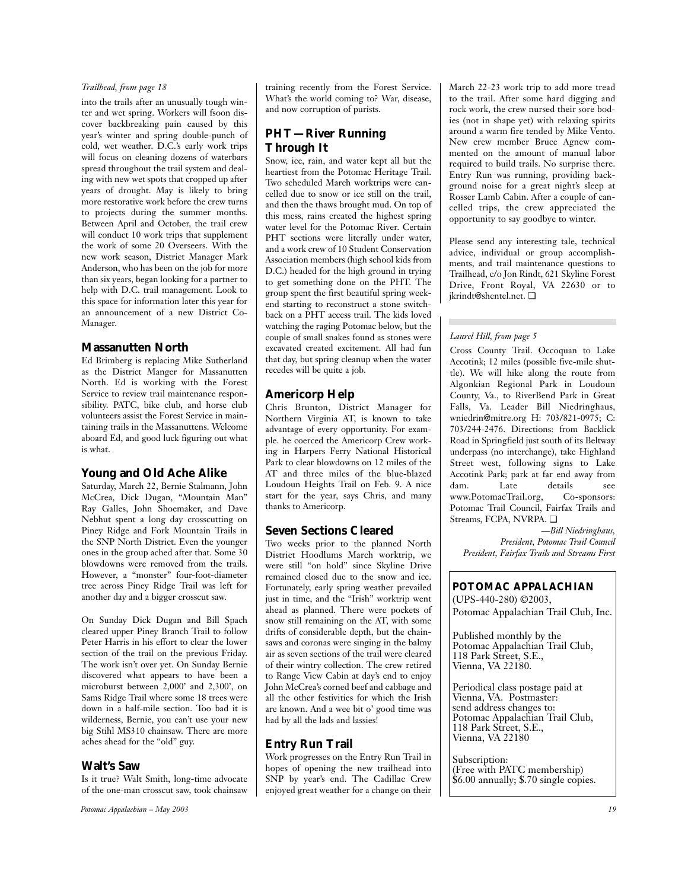## *Trailhead, from page 18*

into the trails after an unusually tough winter and wet spring. Workers will fsoon discover backbreaking pain caused by this year's winter and spring double-punch of cold, wet weather. D.C.'s early work trips will focus on cleaning dozens of waterbars spread throughout the trail system and dealing with new wet spots that cropped up after years of drought. May is likely to bring more restorative work before the crew turns to projects during the summer months. Between April and October, the trail crew will conduct 10 work trips that supplement the work of some 20 Overseers. With the new work season, District Manager Mark Anderson, who has been on the job for more than six years, began looking for a partner to help with D.C. trail management. Look to this space for information later this year for an announcement of a new District Co-Manager.

## **Massanutten North**

Ed Brimberg is replacing Mike Sutherland as the District Manger for Massanutten North. Ed is working with the Forest Service to review trail maintenance responsibility. PATC, bike club, and horse club volunteers assist the Forest Service in maintaining trails in the Massanuttens. Welcome aboard Ed, and good luck figuring out what is what.

## **Young and Old Ache Alike**

Saturday, March 22, Bernie Stalmann, John McCrea, Dick Dugan, "Mountain Man" Ray Galles, John Shoemaker, and Dave Nebhut spent a long day crosscutting on Piney Ridge and Fork Mountain Trails in the SNP North District. Even the younger ones in the group ached after that. Some 30 blowdowns were removed from the trails. However, a "monster" four-foot-diameter tree across Piney Ridge Trail was left for another day and a bigger crosscut saw.

On Sunday Dick Dugan and Bill Spach cleared upper Piney Branch Trail to follow Peter Harris in his effort to clear the lower section of the trail on the previous Friday. The work isn't over yet. On Sunday Bernie discovered what appears to have been a microburst between 2,000' and 2,300', on Sams Ridge Trail where some 18 trees were down in a half-mile section. Too bad it is wilderness, Bernie, you can't use your new big Stihl MS310 chainsaw. There are more aches ahead for the "old" guy.

## **Walt's Saw**

Is it true? Walt Smith, long-time advocate of the one-man crosscut saw, took chainsaw

*Potomac Appalachian – May 2003 19*

training recently from the Forest Service. What's the world coming to? War, disease, and now corruption of purists.

## **PHT—River Running Through It**

Snow, ice, rain, and water kept all but the heartiest from the Potomac Heritage Trail. Two scheduled March worktrips were cancelled due to snow or ice still on the trail, and then the thaws brought mud. On top of this mess, rains created the highest spring water level for the Potomac River. Certain PHT sections were literally under water, and a work crew of 10 Student Conservation Association members (high school kids from D.C.) headed for the high ground in trying to get something done on the PHT. The group spent the first beautiful spring weekend starting to reconstruct a stone switchback on a PHT access trail. The kids loved watching the raging Potomac below, but the couple of small snakes found as stones were excavated created excitement. All had fun that day, but spring cleanup when the water recedes will be quite a job.

## **Americorp Help**

Chris Brunton, District Manager for Northern Virginia AT, is known to take advantage of every opportunity. For example. he coerced the Americorp Crew working in Harpers Ferry National Historical Park to clear blowdowns on 12 miles of the AT and three miles of the blue-blazed Loudoun Heights Trail on Feb. 9. A nice start for the year, says Chris, and many thanks to Americorp.

## **Seven Sections Cleared**

Two weeks prior to the planned North District Hoodlums March worktrip, we were still "on hold" since Skyline Drive remained closed due to the snow and ice. Fortunately, early spring weather prevailed just in time, and the "Irish" worktrip went ahead as planned. There were pockets of snow still remaining on the AT, with some drifts of considerable depth, but the chainsaws and coronas were singing in the balmy air as seven sections of the trail were cleared of their wintry collection. The crew retired to Range View Cabin at day's end to enjoy John McCrea's corned beef and cabbage and all the other festivities for which the Irish are known. And a wee bit o' good time was had by all the lads and lassies!

## **Entry Run Trail**

Work progresses on the Entry Run Trail in hopes of opening the new trailhead into SNP by year's end. The Cadillac Crew enjoyed great weather for a change on their March 22-23 work trip to add more tread to the trail. After some hard digging and rock work, the crew nursed their sore bodies (not in shape yet) with relaxing spirits around a warm fire tended by Mike Vento. New crew member Bruce Agnew commented on the amount of manual labor required to build trails. No surprise there. Entry Run was running, providing background noise for a great night's sleep at Rosser Lamb Cabin. After a couple of cancelled trips, the crew appreciated the opportunity to say goodbye to winter.

Please send any interesting tale, technical advice, individual or group accomplishments, and trail maintenance questions to Trailhead, c/o Jon Rindt, 621 Skyline Forest Drive, Front Royal, VA 22630 or to jkrindt@shentel.net. ❏

## *Laurel Hill, from page 5*

Cross County Trail. Occoquan to Lake Accotink; 12 miles (possible five-mile shuttle). We will hike along the route from Algonkian Regional Park in Loudoun County, Va., to RiverBend Park in Great Falls, Va. Leader Bill Niedringhaus, wniedrin@mitre.org H: 703/821-0975; C: 703/244-2476. Directions: from Backlick Road in Springfield just south of its Beltway underpass (no interchange), take Highland Street west, following signs to Lake Accotink Park; park at far end away from dam. Late details see www.PotomacTrail.org, Co-sponsors: Potomac Trail Council, Fairfax Trails and Streams, FCPA, NVRPA. ❏

*—Bill Niedringhaus, President, Potomac Trail Council President, Fairfax Trails and Streams First*

*POTOMAC APPALACHIAN* (UPS-440-280) ©2003,

Potomac Appalachian Trail Club, Inc.

Published monthly by the Potomac Appalachian Trail Club, 118 Park Street, S.E., Vienna, VA 22180.

Periodical class postage paid at Vienna, VA. Postmaster: send address changes to: Potomac Appalachian Trail Club, 118 Park Street, S.E., Vienna, VA 22180

Subscription: (Free with PATC membership) \$6.00 annually; \$.70 single copies.